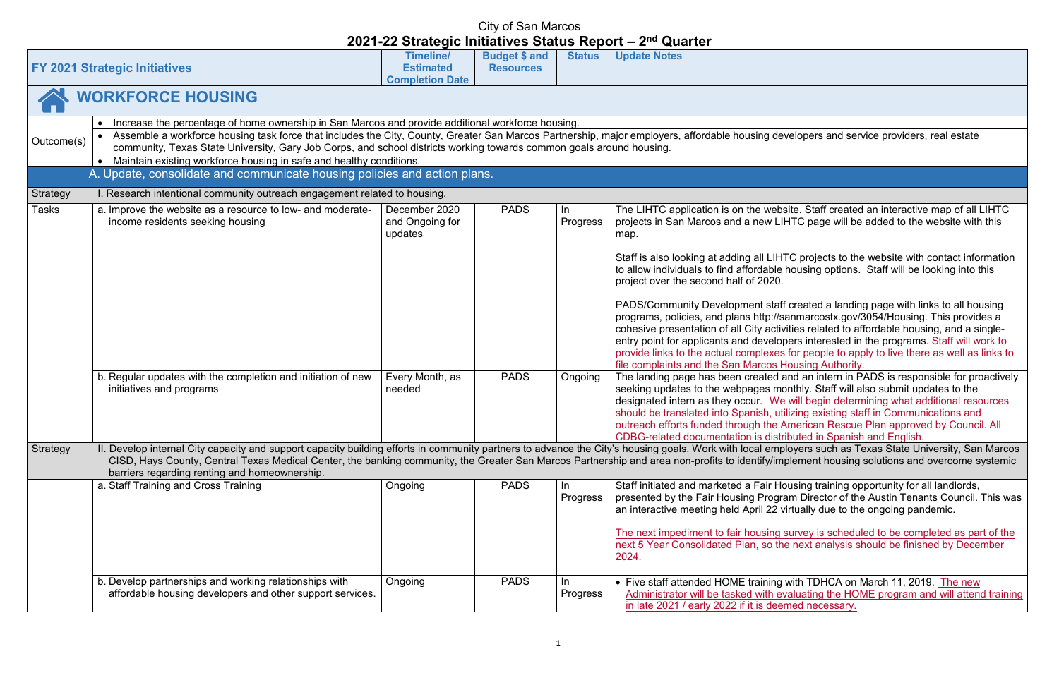fevelopers and service providers, real estate

ebsite. Staff created an interactive map of all LIHTC LIHTC page will be added to the website with this

HTC projects to the website with contact information Ie housing options. Staff will be looking into this

aff created a landing page with links to all housing //sanmarcostx.gov/3054/Housing. This provides a tivities related to affordable housing, and a singlelopers interested in the programs. Staff will work to es for people to apply to live there as well as links to **Housing Authority.** 

d and an intern in PADS is responsible for proactively monthly. Staff will also submit updates to the Ve will begin determining what additional resources utilizing existing staff in Communications and **American Rescue Plan approved by Council. All** stributed in Spanish and English.

nployers such as Texas State University, San Marcos mplement housing solutions and overcome systemic

Housing training opportunity for all landlords, gram Director of the Austin Tenants Council. This was virtually due to the ongoing pandemic.

g survey is scheduled to be completed as part of the the next analysis should be finished by December

g with TDHCA on March 11, 2019. The new evaluating the HOME program and will attend training emed necessary.

|            |                                                                                                                                                                                                                                                                                                                                                            |                                                                          | $\sim$                                   |                            |                                                                                                                                                                                                                                                                                                                                                                                                                                                                                                                                                                                                                                       |
|------------|------------------------------------------------------------------------------------------------------------------------------------------------------------------------------------------------------------------------------------------------------------------------------------------------------------------------------------------------------------|--------------------------------------------------------------------------|------------------------------------------|----------------------------|---------------------------------------------------------------------------------------------------------------------------------------------------------------------------------------------------------------------------------------------------------------------------------------------------------------------------------------------------------------------------------------------------------------------------------------------------------------------------------------------------------------------------------------------------------------------------------------------------------------------------------------|
|            | <b>FY 2021 Strategic Initiatives</b>                                                                                                                                                                                                                                                                                                                       | <b>Timeline/</b><br><b>Estimated</b><br><b>Completion Date</b>           | <b>Budget \$ and</b><br><b>Resources</b> | <b>Status</b>              | <b>Update Notes</b>                                                                                                                                                                                                                                                                                                                                                                                                                                                                                                                                                                                                                   |
|            | <b>WORKFORCE HOUSING</b>                                                                                                                                                                                                                                                                                                                                   |                                                                          |                                          |                            |                                                                                                                                                                                                                                                                                                                                                                                                                                                                                                                                                                                                                                       |
|            | Increase the percentage of home ownership in San Marcos and provide additional workforce housing.<br>$\bullet$                                                                                                                                                                                                                                             |                                                                          |                                          |                            |                                                                                                                                                                                                                                                                                                                                                                                                                                                                                                                                                                                                                                       |
| Outcome(s) | Assemble a workforce housing task force that includes the City, County, Greater San Marcos Partnership, major employers, affordable housing de<br>community, Texas State University, Gary Job Corps, and school districts working towards common goals around housing.                                                                                     |                                                                          |                                          |                            |                                                                                                                                                                                                                                                                                                                                                                                                                                                                                                                                                                                                                                       |
|            | Maintain existing workforce housing in safe and healthy conditions.                                                                                                                                                                                                                                                                                        |                                                                          |                                          |                            |                                                                                                                                                                                                                                                                                                                                                                                                                                                                                                                                                                                                                                       |
|            | A. Update, consolidate and communicate housing policies and action plans.                                                                                                                                                                                                                                                                                  |                                                                          |                                          |                            |                                                                                                                                                                                                                                                                                                                                                                                                                                                                                                                                                                                                                                       |
| Strategy   | I. Research intentional community outreach engagement related to housing.                                                                                                                                                                                                                                                                                  |                                                                          |                                          |                            |                                                                                                                                                                                                                                                                                                                                                                                                                                                                                                                                                                                                                                       |
| Tasks      | a. Improve the website as a resource to low- and moderate-<br>income residents seeking housing<br>b. Regular updates with the completion and initiation of new<br>initiatives and programs                                                                                                                                                                 | December 2020<br>and Ongoing for<br>updates<br>Every Month, as<br>needed | <b>PADS</b><br><b>PADS</b>               | In.<br>Progress<br>Ongoing | The LIHTC application is on the web<br>projects in San Marcos and a new LI<br>map.<br>Staff is also looking at adding all LIH<br>to allow individuals to find affordable<br>project over the second half of 2020.<br><b>PADS/Community Development staf</b><br>programs, policies, and plans http://s<br>cohesive presentation of all City activ<br>entry point for applicants and develo<br>provide links to the actual complexes<br>file complaints and the San Marcos I<br>The landing page has been created<br>seeking updates to the webpages me<br>designated intern as they occur. We<br>should be translated into Spanish, ut |
|            |                                                                                                                                                                                                                                                                                                                                                            |                                                                          |                                          |                            | outreach efforts funded through the                                                                                                                                                                                                                                                                                                                                                                                                                                                                                                                                                                                                   |
|            |                                                                                                                                                                                                                                                                                                                                                            |                                                                          |                                          |                            | <b>CDBG-related documentation is disti</b>                                                                                                                                                                                                                                                                                                                                                                                                                                                                                                                                                                                            |
| Strategy   | II. Develop internal City capacity and support capacity building efforts in community partners to advance the City's housing goals. Work with local emp<br>CISD, Hays County, Central Texas Medical Center, the banking community, the Greater San Marcos Partnership and area non-profits to identify/im<br>barriers regarding renting and homeownership. |                                                                          |                                          |                            |                                                                                                                                                                                                                                                                                                                                                                                                                                                                                                                                                                                                                                       |
|            | a. Staff Training and Cross Training                                                                                                                                                                                                                                                                                                                       | Ongoing                                                                  | <b>PADS</b>                              | In                         | Staff initiated and marketed a Fair He                                                                                                                                                                                                                                                                                                                                                                                                                                                                                                                                                                                                |
|            |                                                                                                                                                                                                                                                                                                                                                            |                                                                          |                                          | Progress                   | presented by the Fair Housing Progr<br>an interactive meeting held April 22 v                                                                                                                                                                                                                                                                                                                                                                                                                                                                                                                                                         |
|            |                                                                                                                                                                                                                                                                                                                                                            |                                                                          |                                          |                            | The next impediment to fair housing<br>next 5 Year Consolidated Plan, so th<br>2024.                                                                                                                                                                                                                                                                                                                                                                                                                                                                                                                                                  |
|            | b. Develop partnerships and working relationships with<br>affordable housing developers and other support services.                                                                                                                                                                                                                                        | Ongoing                                                                  | <b>PADS</b>                              | In.<br>Progress            | • Five staff attended HOME training<br>Administrator will be tasked with e<br>in late 2021 / early 2022 if it is dee                                                                                                                                                                                                                                                                                                                                                                                                                                                                                                                  |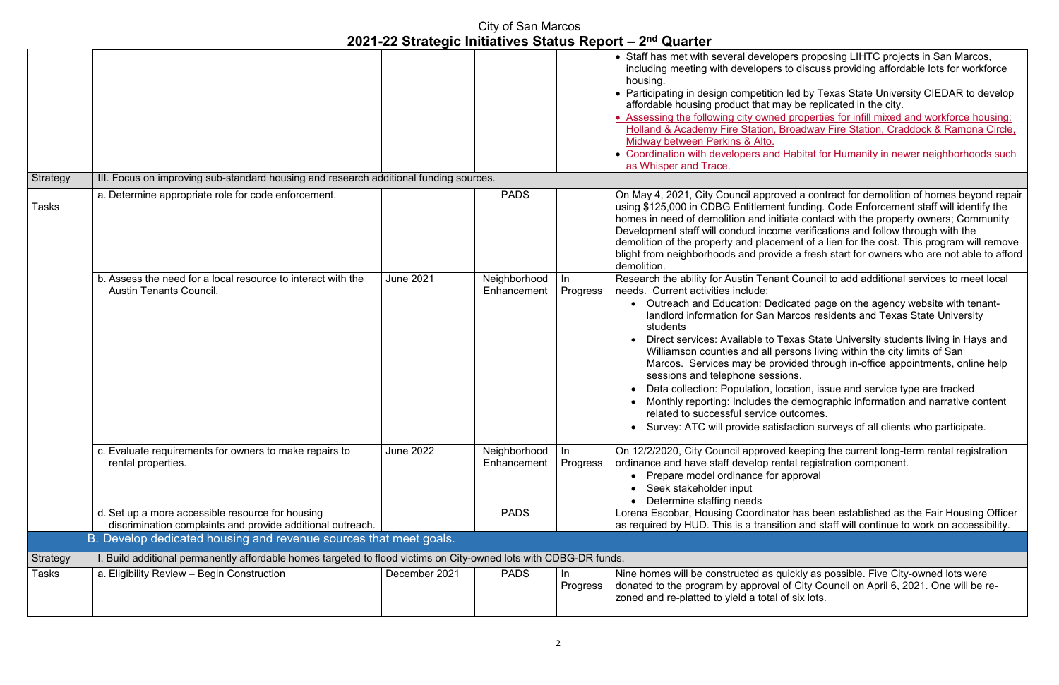pers proposing LIHTC projects in San Marcos, including affordable lots for workforce

on led by Texas State University CIEDAR to develop nay be replicated in the city.

ed properties for infill mixed and workforce housing: Broadway Fire Station, Craddock & Ramona Circle,

I Habitat for Humanity in newer neighborhoods such

bed a contract for demolition of homes beyond repair Int funding. Code Enforcement staff will identify the itiate contact with the property owners; Community ome verifications and follow through with the ement of a lien for the cost. This program will remove vide a fresh start for owners who are not able to afford

ant Council to add additional services to meet local

edicated page on the agency website with tenant-Marcos residents and Texas State University

Texas State University students living in Hays and persons living within the city limits of San rovided through in-office appointments, online help sions.

location, issue and service type are tracked the demographic information and narrative content outcomes.

isfaction surveys of all clients who participate.

ed keeping the current long-term rental registration ental registration component. approval

Itor has been established as the Fair Housing Officer ition and staff will continue to work on accessibility.

quickly as possible. Five City-owned lots were  $\overline{\phantom{\alpha}}$  of City Council on April 6, 2021. One will be reof six lots.

|                 |                                                                                                                   | 2021 22 Oualogio milialivos Olalas Report |                             |                 | <b>GUALLA</b>                                                                                                                                                                                                                                                                                                                                                                                                               |
|-----------------|-------------------------------------------------------------------------------------------------------------------|-------------------------------------------|-----------------------------|-----------------|-----------------------------------------------------------------------------------------------------------------------------------------------------------------------------------------------------------------------------------------------------------------------------------------------------------------------------------------------------------------------------------------------------------------------------|
| Strategy        | III. Focus on improving sub-standard housing and research additional funding sources.                             |                                           |                             |                 | • Staff has met with several develo<br>including meeting with developers<br>housing.<br>• Participating in design competitio<br>affordable housing product that m<br>Assessing the following city owne<br>Holland & Academy Fire Station,<br>Midway between Perkins & Alto.<br>• Coordination with developers and<br>as Whisper and Trace.                                                                                  |
|                 |                                                                                                                   |                                           |                             |                 |                                                                                                                                                                                                                                                                                                                                                                                                                             |
| Tasks           | a. Determine appropriate role for code enforcement.                                                               |                                           | <b>PADS</b>                 |                 | On May 4, 2021, City Council appro<br>using \$125,000 in CDBG Entitlemer<br>homes in need of demolition and ini<br>Development staff will conduct inco<br>demolition of the property and place<br>blight from neighborhoods and prov<br>demolition.                                                                                                                                                                         |
|                 | b. Assess the need for a local resource to interact with the<br><b>Austin Tenants Council.</b>                    | <b>June 2021</b>                          | Neighborhood<br>Enhancement | In<br>Progress  | Research the ability for Austin Tena<br>needs. Current activities include:<br>• Outreach and Education: De<br>landlord information for San<br>students<br>Direct services: Available to<br>Williamson counties and all p<br>Marcos. Services may be pr<br>sessions and telephone sess<br>Data collection: Population, I<br>Monthly reporting: Includes th<br>related to successful service<br>Survey: ATC will provide sati |
|                 | c. Evaluate requirements for owners to make repairs to<br>rental properties.                                      | <b>June 2022</b>                          | Neighborhood<br>Enhancement | In.<br>Progress | On 12/2/2020, City Council approve<br>ordinance and have staff develop re<br>Prepare model ordinance for<br>Seek stakeholder input<br>Determine staffing needs                                                                                                                                                                                                                                                              |
|                 | d. Set up a more accessible resource for housing                                                                  |                                           | <b>PADS</b>                 |                 | Lorena Escobar, Housing Coordina                                                                                                                                                                                                                                                                                                                                                                                            |
|                 | discrimination complaints and provide additional outreach.                                                        |                                           |                             |                 | as required by HUD. This is a transi                                                                                                                                                                                                                                                                                                                                                                                        |
|                 | B. Develop dedicated housing and revenue sources that meet goals.                                                 |                                           |                             |                 |                                                                                                                                                                                                                                                                                                                                                                                                                             |
| <b>Strategy</b> | I. Build additional permanently affordable homes targeted to flood victims on City-owned lots with CDBG-DR funds. |                                           |                             |                 |                                                                                                                                                                                                                                                                                                                                                                                                                             |
| Tasks           | a. Eligibility Review - Begin Construction                                                                        | December 2021                             | <b>PADS</b>                 | In.<br>Progress | Nine homes will be constructed as<br>donated to the program by approva<br>zoned and re-platted to yield a total                                                                                                                                                                                                                                                                                                             |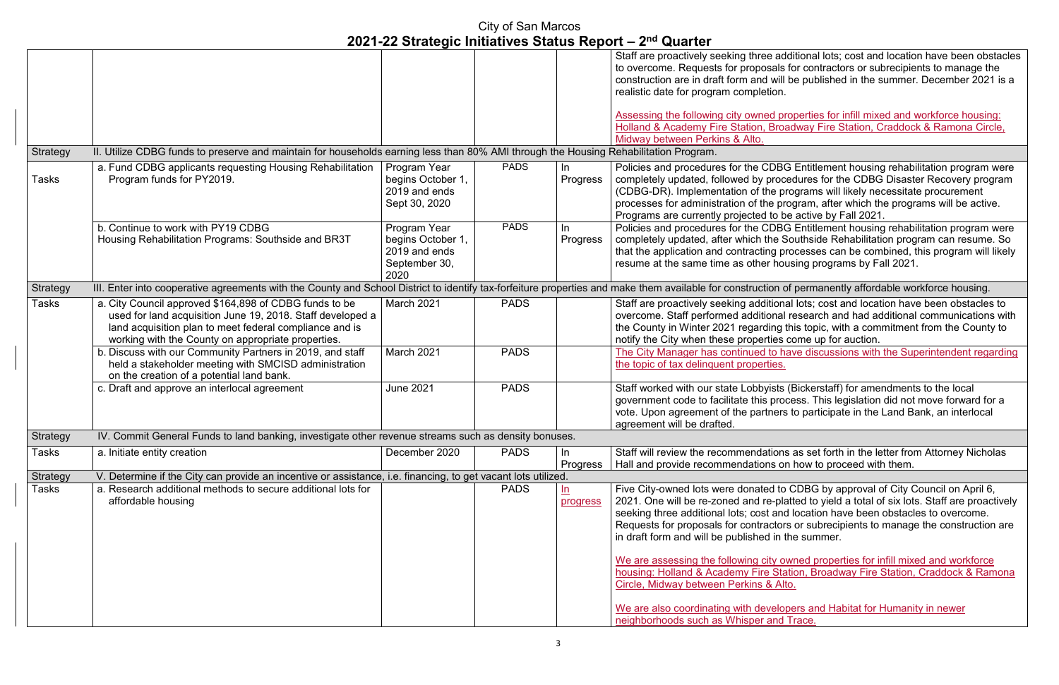additional lots; cost and location have been obstacles als for contractors or subrecipients to manage the will be published in the summer. December 2021 is a

properties for infill mixed and workforce housing: **Broadway Fire Station, Craddock & Ramona Circle,** 

**POICIC Entitlement housing rehabilitation program were** rocedures for the CDBG Disaster Recovery program programs will likely necessitate procurement program, after which the programs will be active. o be active by Fall 2021.

**POICIC Entitlement housing rehabilitation program were** e Southside Rehabilitation program can resume. So processes can be combined, this program will likely nousing programs by Fall 2021.

n of permanently affordable workforce housing.

onal lots; cost and location have been obstacles to nal research and had additional communications with ig this topic, with a commitment from the County to es come up for auction.

o have discussions with the Superintendent regarding

sts (Bickerstaff) for amendments to the local process. This legislation did not move forward for a ers to participate in the Land Bank, an interlocal

ions as set forth in the letter from Attorney Nicholas on how to proceed with them.

to CDBG by approval of City Council on April 6, platted to yield a total of six lots. Staff are proactively and location have been obstacles to overcome. tors or subrecipients to manage the construction are in the summer.

wo are deproperties for infill mixed and workforce Station, Broadway Fire Station, Craddock & Ramona Alto.

**Propers and Habitat for Humanity in newer** nd Trace.

|                 |                                                                                                                                                                                                                                       |                                                                             |             |                               | Staff are proactively seeking three ad<br>to overcome. Requests for proposals<br>construction are in draft form and will<br>realistic date for program completion.                                                                                                                                                                    |
|-----------------|---------------------------------------------------------------------------------------------------------------------------------------------------------------------------------------------------------------------------------------|-----------------------------------------------------------------------------|-------------|-------------------------------|---------------------------------------------------------------------------------------------------------------------------------------------------------------------------------------------------------------------------------------------------------------------------------------------------------------------------------------|
|                 |                                                                                                                                                                                                                                       |                                                                             |             |                               | Assessing the following city owned pr                                                                                                                                                                                                                                                                                                 |
|                 |                                                                                                                                                                                                                                       |                                                                             |             |                               | <b>Holland &amp; Academy Fire Station, Broa</b>                                                                                                                                                                                                                                                                                       |
|                 |                                                                                                                                                                                                                                       |                                                                             |             |                               | Midway between Perkins & Alto.                                                                                                                                                                                                                                                                                                        |
| Strategy        | II. Utilize CDBG funds to preserve and maintain for households earning less than 80% AMI through the Housing Rehabilitation Program.                                                                                                  |                                                                             |             |                               |                                                                                                                                                                                                                                                                                                                                       |
| <b>Tasks</b>    | a. Fund CDBG applicants requesting Housing Rehabilitation<br>Program funds for PY2019.                                                                                                                                                | Program Year<br>begins October 1,<br>2019 and ends<br>Sept 30, 2020         | <b>PADS</b> | In<br>Progress                | Policies and procedures for the CDB<br>completely updated, followed by proc<br>(CDBG-DR). Implementation of the p<br>processes for administration of the pr<br>Programs are currently projected to b                                                                                                                                  |
|                 | b. Continue to work with PY19 CDBG<br>Housing Rehabilitation Programs: Southside and BR3T                                                                                                                                             | Program Year<br>begins October 1,<br>2019 and ends<br>September 30,<br>2020 | <b>PADS</b> | In<br>Progress                | Policies and procedures for the CDB<br>completely updated, after which the S<br>that the application and contracting p<br>resume at the same time as other hor                                                                                                                                                                        |
| <b>Strategy</b> | III. Enter into cooperative agreements with the County and School District to identify tax-forfeiture properties and make them available for construction o                                                                           |                                                                             |             |                               |                                                                                                                                                                                                                                                                                                                                       |
| <b>Tasks</b>    | a. City Council approved \$164,898 of CDBG funds to be<br>used for land acquisition June 19, 2018. Staff developed a<br>land acquisition plan to meet federal compliance and is<br>working with the County on appropriate properties. | March 2021                                                                  | <b>PADS</b> |                               | Staff are proactively seeking addition<br>overcome. Staff performed additional<br>the County in Winter 2021 regarding<br>notify the City when these properties                                                                                                                                                                        |
|                 | b. Discuss with our Community Partners in 2019, and staff<br>held a stakeholder meeting with SMCISD administration<br>on the creation of a potential land bank.                                                                       | March 2021                                                                  | <b>PADS</b> |                               | The City Manager has continued to h<br>the topic of tax delinquent properties.                                                                                                                                                                                                                                                        |
|                 | c. Draft and approve an interlocal agreement                                                                                                                                                                                          | <b>June 2021</b>                                                            | <b>PADS</b> |                               | Staff worked with our state Lobbyists<br>government code to facilitate this pro-<br>vote. Upon agreement of the partners<br>agreement will be drafted.                                                                                                                                                                                |
| Strategy        | IV. Commit General Funds to land banking, investigate other revenue streams such as density bonuses.                                                                                                                                  |                                                                             |             |                               |                                                                                                                                                                                                                                                                                                                                       |
| <b>Tasks</b>    | a. Initiate entity creation                                                                                                                                                                                                           | December 2020                                                               | <b>PADS</b> | In.<br>Progress               | Staff will review the recommendation<br>Hall and provide recommendations of                                                                                                                                                                                                                                                           |
| <b>Strategy</b> | V. Determine if the City can provide an incentive or assistance, i.e. financing, to get vacant lots utilized.                                                                                                                         |                                                                             |             |                               |                                                                                                                                                                                                                                                                                                                                       |
| <b>Tasks</b>    | a. Research additional methods to secure additional lots for<br>affordable housing                                                                                                                                                    |                                                                             | <b>PADS</b> | $\underline{\ln}$<br>progress | Five City-owned lots were donated to<br>2021. One will be re-zoned and re-pla<br>seeking three additional lots; cost and<br>Requests for proposals for contractor<br>in draft form and will be published in t<br>We are assessing the following city o<br>housing: Holland & Academy Fire Sta<br>Circle, Midway between Perkins & Alt |
|                 |                                                                                                                                                                                                                                       |                                                                             |             |                               | We are also coordinating with develo<br>neighborhoods such as Whisper and                                                                                                                                                                                                                                                             |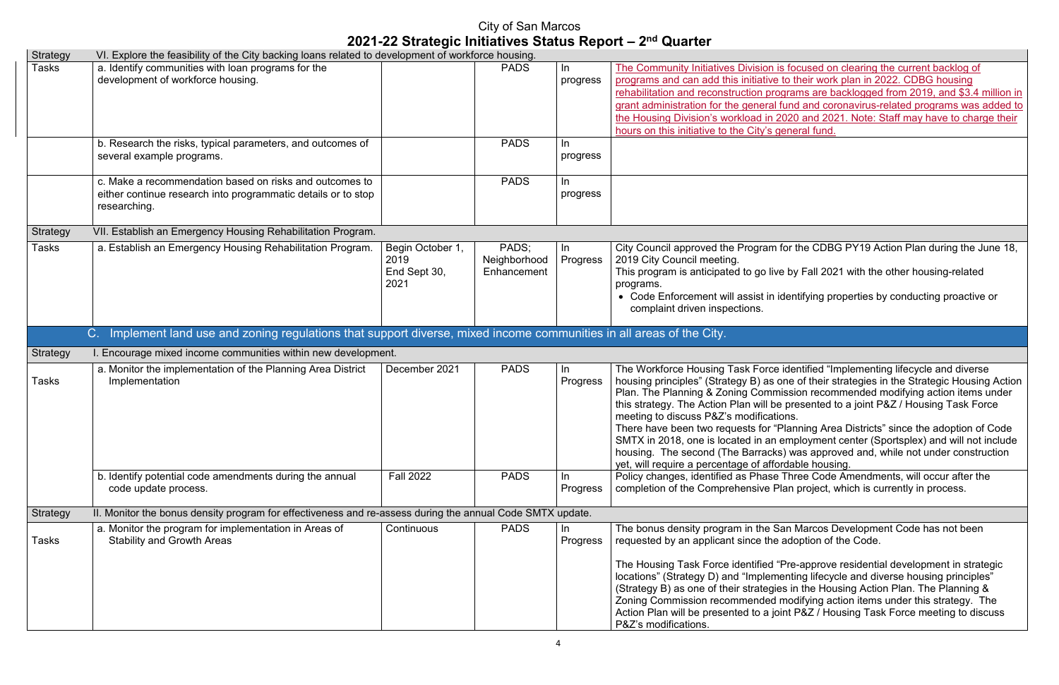is focused on clearing the current backlog of e to their work plan in 2022. CDBG housing rograms are backlogged from 2019, and  $$3.4$  million in I fund and coronavirus-related programs was added to 2020 and 2021. Note: Staff may have to charge their general fund.

n for the CDBG PY19 Action Plan during the June 18,

ive by Fall 2021 with the other housing-related

identifying properties by conducting proactive or

te identified "Implementing lifecycle and diverse one of their strategies in the Strategic Housing Action mission recommended modifying action items under e presented to a joint P&Z / Housing Task Force lions.

"Planning Area Districts" since the adoption of Code  $\alpha$  employment center (Sportsplex) and will not include  $ks$ ) was approved and, while not under construction fordable housing.

e Three Code Amendments, will occur after the Plan project, which is currently in process.

San Marcos Development Code has not been e adoption of the Code.

"Pre-approve residential development in strategic menting lifecycle and diverse housing principles" ies in the Housing Action Plan. The Planning & I modifying action items under this strategy. The joint P&Z / Housing Task Force meeting to discuss

| <b>Strategy</b> | VI. Explore the feasibility of the City backing loans related to development of workforce housing.                                       |                                                  |                                      |                       |                                                                                                                                                                                                                                                                                                                                                     |
|-----------------|------------------------------------------------------------------------------------------------------------------------------------------|--------------------------------------------------|--------------------------------------|-----------------------|-----------------------------------------------------------------------------------------------------------------------------------------------------------------------------------------------------------------------------------------------------------------------------------------------------------------------------------------------------|
| Tasks           | a. Identify communities with loan programs for the<br>development of workforce housing.                                                  |                                                  | <b>PADS</b>                          | In<br>progress        | The Community Initiatives Division<br>programs and can add this initiative<br>rehabilitation and reconstruction pre<br>grant administration for the general<br>the Housing Division's workload in<br>hours on this initiative to the City's                                                                                                         |
|                 | b. Research the risks, typical parameters, and outcomes of<br>several example programs.                                                  |                                                  | <b>PADS</b>                          | In<br>progress        |                                                                                                                                                                                                                                                                                                                                                     |
|                 | c. Make a recommendation based on risks and outcomes to<br>either continue research into programmatic details or to stop<br>researching. |                                                  | <b>PADS</b>                          | $\ln$<br>progress     |                                                                                                                                                                                                                                                                                                                                                     |
| <b>Strategy</b> | VII. Establish an Emergency Housing Rehabilitation Program.                                                                              |                                                  |                                      |                       |                                                                                                                                                                                                                                                                                                                                                     |
| Tasks           | a. Establish an Emergency Housing Rehabilitation Program.                                                                                | Begin October 1,<br>2019<br>End Sept 30,<br>2021 | PADS:<br>Neighborhood<br>Enhancement | In<br>Progress        | City Council approved the Program<br>2019 City Council meeting.<br>This program is anticipated to go liv<br>programs.<br>• Code Enforcement will assist in<br>complaint driven inspections.                                                                                                                                                         |
|                 | Implement land use and zoning regulations that support diverse, mixed income communities in all areas of the City.<br>C.                 |                                                  |                                      |                       |                                                                                                                                                                                                                                                                                                                                                     |
| <b>Strategy</b> | I. Encourage mixed income communities within new development.                                                                            |                                                  |                                      |                       |                                                                                                                                                                                                                                                                                                                                                     |
| Tasks           | a. Monitor the implementation of the Planning Area District<br>Implementation                                                            | December 2021                                    | <b>PADS</b>                          | In.<br>Progress       | The Workforce Housing Task Force<br>housing principles" (Strategy B) as<br>Plan. The Planning & Zoning Comr<br>this strategy. The Action Plan will b<br>meeting to discuss P&Z's modificat<br>There have been two requests for '<br>SMTX in 2018, one is located in an<br>housing. The second (The Barrack<br>yet, will require a percentage of aff |
|                 | b. Identify potential code amendments during the annual<br>code update process.                                                          | <b>Fall 2022</b>                                 | <b>PADS</b>                          | <u>In</u><br>Progress | Policy changes, identified as Phase<br>completion of the Comprehensive I                                                                                                                                                                                                                                                                            |
| <b>Strategy</b> | II. Monitor the bonus density program for effectiveness and re-assess during the annual Code SMTX update.                                |                                                  |                                      |                       |                                                                                                                                                                                                                                                                                                                                                     |
| Tasks           | a. Monitor the program for implementation in Areas of<br><b>Stability and Growth Areas</b>                                               | Continuous                                       | <b>PADS</b>                          | In.<br>Progress       | The bonus density program in the \$<br>requested by an applicant since the<br>The Housing Task Force identified<br>locations" (Strategy D) and "Implen                                                                                                                                                                                              |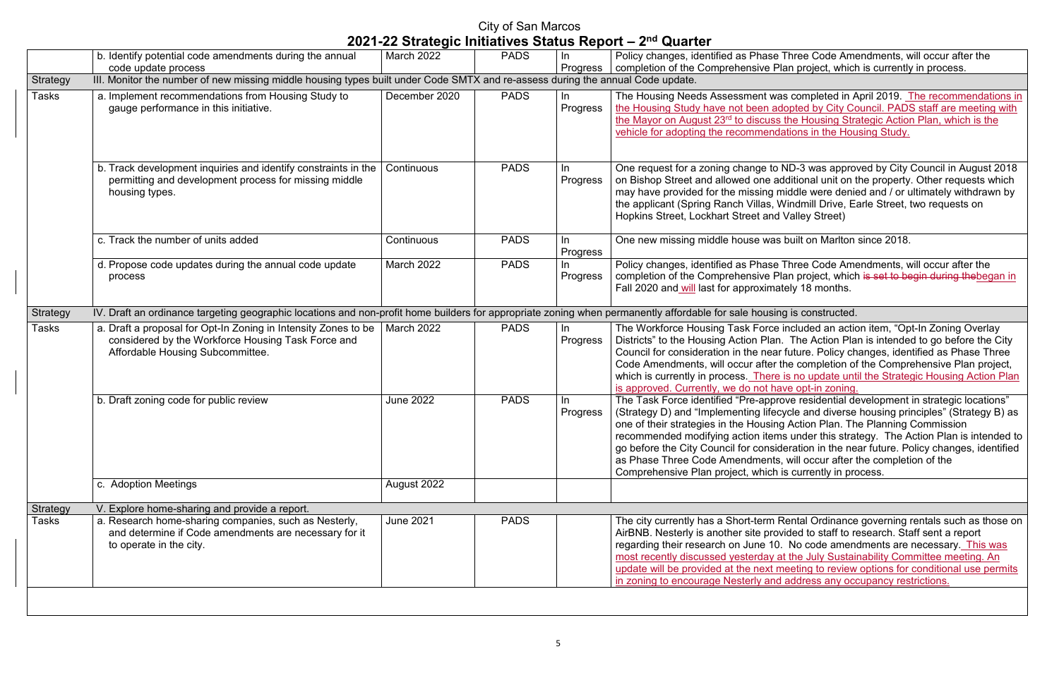City of San Marcos

Three Code Amendments, will occur after the lan project, which is currently in process.

as completed in April 2019. The recommendations in the Housing Staff are meeting with s the Housing Strategic Action Plan, which is the dations in the Housing Study.

ND-3 was approved by City Council in August 2018 additional unit on the property. Other requests which middle were denied and / or ultimately withdrawn by Windmill Drive, Earle Street, two requests on **Valley Street)** 

s built on Marlton since 2018.

Three Code Amendments, will occur after the Plan project, which is set to begin during thebegan in ately 18 months.

I included an action item, "Opt-In Zoning Overlay n. The Action Plan is intended to go before the City ar future. Policy changes, identified as Phase Three the completion of the Comprehensive Plan project, e is no update until the Strategic Housing Action Plan ave opt-in zoning.

rove residential development in strategic locations" cycle and diverse housing principles" (Strategy B) as ng Action Plan. The Planning Commission ms under this strategy. The Action Plan is intended to ideration in the near future. Policy changes, identified s, will occur after the completion of the is currently in process.

Rental Ordinance governing rentals such as those on ovided to staff to research. Staff sent a report 0. No code amendments are necessary. This was at the July Sustainability Committee meeting. An meeting to review options for conditional use permits d address any occupancy restrictions.

|                          | b. Identify potential code amendments during the annual                                                                                                                | March 2022       | <b>PADS</b> | In                | Policy changes, identified as Phase Three Code Ame                                                                                                                                                                                                                                                                                                                                                   |
|--------------------------|------------------------------------------------------------------------------------------------------------------------------------------------------------------------|------------------|-------------|-------------------|------------------------------------------------------------------------------------------------------------------------------------------------------------------------------------------------------------------------------------------------------------------------------------------------------------------------------------------------------------------------------------------------------|
|                          | code update process                                                                                                                                                    |                  |             | Progress          | completion of the Comprehensive Plan project, which                                                                                                                                                                                                                                                                                                                                                  |
| Strategy                 | III. Monitor the number of new missing middle housing types built under Code SMTX and re-assess during the annual Code update.                                         |                  |             |                   |                                                                                                                                                                                                                                                                                                                                                                                                      |
| <b>Tasks</b>             | a. Implement recommendations from Housing Study to<br>gauge performance in this initiative.                                                                            | December 2020    | <b>PADS</b> | In.<br>Progress   | The Housing Needs Assessment was completed in A<br>the Housing Study have not been adopted by City Co<br>the Mayor on August 23 <sup>rd</sup> to discuss the Housing Stra<br>vehicle for adopting the recommendations in the Hour                                                                                                                                                                    |
|                          | b. Track development inquiries and identify constraints in the<br>permitting and development process for missing middle<br>housing types.                              | Continuous       | <b>PADS</b> | In.<br>Progress   | One request for a zoning change to ND-3 was appro<br>on Bishop Street and allowed one additional unit on t<br>may have provided for the missing middle were denie<br>the applicant (Spring Ranch Villas, Windmill Drive, E<br>Hopkins Street, Lockhart Street and Valley Street)                                                                                                                     |
|                          | c. Track the number of units added                                                                                                                                     | Continuous       | <b>PADS</b> | In.<br>Progress   | One new missing middle house was built on Marlton                                                                                                                                                                                                                                                                                                                                                    |
|                          | d. Propose code updates during the annual code update<br>process                                                                                                       | March 2022       | <b>PADS</b> | $\ln$<br>Progress | Policy changes, identified as Phase Three Code Ame<br>completion of the Comprehensive Plan project, which<br>Fall 2020 and will last for approximately 18 months.                                                                                                                                                                                                                                    |
| Strategy                 | IV. Draft an ordinance targeting geographic locations and non-profit home builders for appropriate zoning when permanently affordable for sale housing is constructed. |                  |             |                   |                                                                                                                                                                                                                                                                                                                                                                                                      |
| <b>Tasks</b>             | a. Draft a proposal for Opt-In Zoning in Intensity Zones to be<br>considered by the Workforce Housing Task Force and<br>Affordable Housing Subcommittee.               | March 2022       | <b>PADS</b> | In<br>Progress    | The Workforce Housing Task Force included an action<br>Districts" to the Housing Action Plan. The Action Pla<br>Council for consideration in the near future. Policy ch<br>Code Amendments, will occur after the completion of<br>which is currently in process. There is no update unt<br>is approved. Currently, we do not have opt-in zoning.                                                     |
|                          | b. Draft zoning code for public review                                                                                                                                 | <b>June 2022</b> | <b>PADS</b> | In<br>Progress    | The Task Force identified "Pre-approve residential de<br>(Strategy D) and "Implementing lifecycle and diverse<br>one of their strategies in the Housing Action Plan. Th<br>recommended modifying action items under this stra<br>go before the City Council for consideration in the ne<br>as Phase Three Code Amendments, will occur after<br>Comprehensive Plan project, which is currently in pro |
|                          |                                                                                                                                                                        |                  |             |                   |                                                                                                                                                                                                                                                                                                                                                                                                      |
|                          | c. Adoption Meetings                                                                                                                                                   | August 2022      |             |                   |                                                                                                                                                                                                                                                                                                                                                                                                      |
|                          |                                                                                                                                                                        |                  |             |                   |                                                                                                                                                                                                                                                                                                                                                                                                      |
| Strategy<br><b>Tasks</b> | V. Explore home-sharing and provide a report.<br>a. Research home-sharing companies, such as Nesterly,                                                                 | <b>June 2021</b> | <b>PADS</b> |                   | The city currently has a Short-term Rental Ordinance                                                                                                                                                                                                                                                                                                                                                 |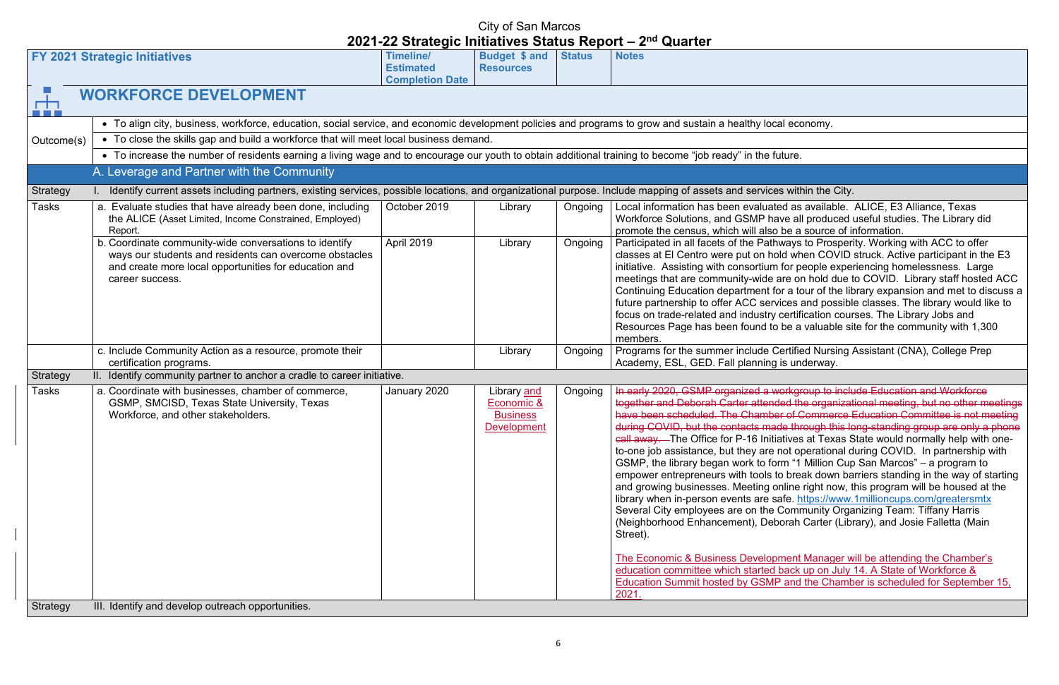ed as available. ALICE, E3 Alliance, Texas ave all produced useful studies. The Library did be a source of information.

hways to Prosperity. Working with ACC to offer old when COVID struck. Active participant in the E3 infor people experiencing homelessness. Large are on hold due to COVID. Library staff hosted ACC  $\overline{\text{C}}$  a tour of the library expansion and met to discuss a vices and possible classes. The library would like to certification courses. The Library Jobs and be a valuable site for the community with 1,300

Certified Nursing Assistant (CNA), College Prep is underway.

vorkgroup to include Education and Workforce ded the organizational meeting, but no other meetings er of Commerce Education Committee is not meeting  $\overline{\text{de through this long-standing group are only a phone}}$ iatives at Texas State would normally help with onenot operational during COVID. In partnership with orm "1 Million Cup San Marcos" – a program to to break down barriers standing in the way of starting  $\frac{1}{2}$  online right now, this program will be housed at the afe.<https://www.1millioncups.com/greatersmtx> Community Organizing Team: Tiffany Harris borah Carter (Library), and Josie Falletta (Main

Iffer Economic Manager will be attending the Chamber's back up on July 14. A State of Workforce & P and the Chamber is scheduled for September 15,

| <b>Budget \$ and</b><br><b>Timeline/</b><br><b>Status</b><br><b>Notes</b><br><b>FY 2021 Strategic Initiatives</b><br><b>Estimated</b><br><b>Resources</b><br><b>Completion Date</b><br>击<br><b>WORKFORCE DEVELOPMENT</b><br><u>a sa san</u><br>• To align city, business, workforce, education, social service, and economic development policies and programs to grow and sustain a healthy local economy.<br>• To close the skills gap and build a workforce that will meet local business demand.<br>Outcome(s)<br>• To increase the number of residents earning a living wage and to encourage our youth to obtain additional training to become "job ready" in the future.<br>A. Leverage and Partner with the Community<br>Identify current assets including partners, existing services, possible locations, and organizational purpose. Include mapping of assets and services within the City.<br><b>Strategy</b><br>a. Evaluate studies that have already been done, including<br>October 2019<br>Ongoing<br>Local information has been evaluated as available.<br>Tasks<br>Library<br>the ALICE (Asset Limited, Income Constrained, Employed)<br>Workforce Solutions, and GSMP have all produced<br>promote the census, which will also be a source of in<br>Report.<br>April 2019<br>b. Coordinate community-wide conversations to identify<br>Participated in all facets of the Pathways to Prosperi<br>Library<br>Ongoing<br>classes at El Centro were put on hold when COVID<br>ways our students and residents can overcome obstacles<br>initiative. Assisting with consortium for people exper<br>and create more local opportunities for education and<br>meetings that are community-wide are on hold due t<br>career success.<br>Continuing Education department for a tour of the lit<br>future partnership to offer ACC services and possibl<br>focus on trade-related and industry certification cour<br>Resources Page has been found to be a valuable si<br>members.<br>Programs for the summer include Certified Nursing,<br>c. Include Community Action as a resource, promote their<br>Ongoing<br>Library<br>Academy, ESL, GED. Fall planning is underway.<br>certification programs.<br><b>Strategy</b><br>II. Identify community partner to anchor a cradle to career initiative.<br>a. Coordinate with businesses, chamber of commerce,<br>January 2020<br>In early 2020, GSMP organized a workgroup to inclu<br>Tasks<br>Library and<br>Ongoing<br>GSMP, SMCISD, Texas State University, Texas<br>Economic &<br>together and Deborah Carter attended the organizat<br>have been scheduled. The Chamber of Commerce I<br>Workforce, and other stakeholders.<br><b>Business</b><br>during COVID, but the contacts made through this k<br>Development<br>call away. The Office for P-16 Initiatives at Texas S<br>to-one job assistance, but they are not operational d<br>GSMP, the library began work to form "1 Million Cup<br>empower entrepreneurs with tools to break down ba<br>and growing businesses. Meeting online right now, t<br>library when in-person events are safe. https://www.<br>Several City employees are on the Community Orga<br>(Neighborhood Enhancement), Deborah Carter (Libr<br>Street).<br>The Economic & Business Development Manager w<br>education committee which started back up on July<br>Education Summit hosted by GSMP and the Chamb<br>2021. |          |                                                   |  | <b>GUALLA</b> |
|---------------------------------------------------------------------------------------------------------------------------------------------------------------------------------------------------------------------------------------------------------------------------------------------------------------------------------------------------------------------------------------------------------------------------------------------------------------------------------------------------------------------------------------------------------------------------------------------------------------------------------------------------------------------------------------------------------------------------------------------------------------------------------------------------------------------------------------------------------------------------------------------------------------------------------------------------------------------------------------------------------------------------------------------------------------------------------------------------------------------------------------------------------------------------------------------------------------------------------------------------------------------------------------------------------------------------------------------------------------------------------------------------------------------------------------------------------------------------------------------------------------------------------------------------------------------------------------------------------------------------------------------------------------------------------------------------------------------------------------------------------------------------------------------------------------------------------------------------------------------------------------------------------------------------------------------------------------------------------------------------------------------------------------------------------------------------------------------------------------------------------------------------------------------------------------------------------------------------------------------------------------------------------------------------------------------------------------------------------------------------------------------------------------------------------------------------------------------------------------------------------------------------------------------------------------------------------------------------------------------------------------------------------------------------------------------------------------------------------------------------------------------------------------------------------------------------------------------------------------------------------------------------------------------------------------------------------------------------------------------------------------------------------------------------------------------------------------------------------------------------------------------------------------------------------------------------------------------------------------------------------------------------------------------------------------------------------------------------------------------------------------------------------------------|----------|---------------------------------------------------|--|---------------|
|                                                                                                                                                                                                                                                                                                                                                                                                                                                                                                                                                                                                                                                                                                                                                                                                                                                                                                                                                                                                                                                                                                                                                                                                                                                                                                                                                                                                                                                                                                                                                                                                                                                                                                                                                                                                                                                                                                                                                                                                                                                                                                                                                                                                                                                                                                                                                                                                                                                                                                                                                                                                                                                                                                                                                                                                                                                                                                                                                                                                                                                                                                                                                                                                                                                                                                                                                                                                                     |          |                                                   |  |               |
|                                                                                                                                                                                                                                                                                                                                                                                                                                                                                                                                                                                                                                                                                                                                                                                                                                                                                                                                                                                                                                                                                                                                                                                                                                                                                                                                                                                                                                                                                                                                                                                                                                                                                                                                                                                                                                                                                                                                                                                                                                                                                                                                                                                                                                                                                                                                                                                                                                                                                                                                                                                                                                                                                                                                                                                                                                                                                                                                                                                                                                                                                                                                                                                                                                                                                                                                                                                                                     |          |                                                   |  |               |
|                                                                                                                                                                                                                                                                                                                                                                                                                                                                                                                                                                                                                                                                                                                                                                                                                                                                                                                                                                                                                                                                                                                                                                                                                                                                                                                                                                                                                                                                                                                                                                                                                                                                                                                                                                                                                                                                                                                                                                                                                                                                                                                                                                                                                                                                                                                                                                                                                                                                                                                                                                                                                                                                                                                                                                                                                                                                                                                                                                                                                                                                                                                                                                                                                                                                                                                                                                                                                     |          |                                                   |  |               |
|                                                                                                                                                                                                                                                                                                                                                                                                                                                                                                                                                                                                                                                                                                                                                                                                                                                                                                                                                                                                                                                                                                                                                                                                                                                                                                                                                                                                                                                                                                                                                                                                                                                                                                                                                                                                                                                                                                                                                                                                                                                                                                                                                                                                                                                                                                                                                                                                                                                                                                                                                                                                                                                                                                                                                                                                                                                                                                                                                                                                                                                                                                                                                                                                                                                                                                                                                                                                                     |          |                                                   |  |               |
|                                                                                                                                                                                                                                                                                                                                                                                                                                                                                                                                                                                                                                                                                                                                                                                                                                                                                                                                                                                                                                                                                                                                                                                                                                                                                                                                                                                                                                                                                                                                                                                                                                                                                                                                                                                                                                                                                                                                                                                                                                                                                                                                                                                                                                                                                                                                                                                                                                                                                                                                                                                                                                                                                                                                                                                                                                                                                                                                                                                                                                                                                                                                                                                                                                                                                                                                                                                                                     |          |                                                   |  |               |
|                                                                                                                                                                                                                                                                                                                                                                                                                                                                                                                                                                                                                                                                                                                                                                                                                                                                                                                                                                                                                                                                                                                                                                                                                                                                                                                                                                                                                                                                                                                                                                                                                                                                                                                                                                                                                                                                                                                                                                                                                                                                                                                                                                                                                                                                                                                                                                                                                                                                                                                                                                                                                                                                                                                                                                                                                                                                                                                                                                                                                                                                                                                                                                                                                                                                                                                                                                                                                     |          |                                                   |  |               |
|                                                                                                                                                                                                                                                                                                                                                                                                                                                                                                                                                                                                                                                                                                                                                                                                                                                                                                                                                                                                                                                                                                                                                                                                                                                                                                                                                                                                                                                                                                                                                                                                                                                                                                                                                                                                                                                                                                                                                                                                                                                                                                                                                                                                                                                                                                                                                                                                                                                                                                                                                                                                                                                                                                                                                                                                                                                                                                                                                                                                                                                                                                                                                                                                                                                                                                                                                                                                                     |          |                                                   |  |               |
|                                                                                                                                                                                                                                                                                                                                                                                                                                                                                                                                                                                                                                                                                                                                                                                                                                                                                                                                                                                                                                                                                                                                                                                                                                                                                                                                                                                                                                                                                                                                                                                                                                                                                                                                                                                                                                                                                                                                                                                                                                                                                                                                                                                                                                                                                                                                                                                                                                                                                                                                                                                                                                                                                                                                                                                                                                                                                                                                                                                                                                                                                                                                                                                                                                                                                                                                                                                                                     |          |                                                   |  |               |
|                                                                                                                                                                                                                                                                                                                                                                                                                                                                                                                                                                                                                                                                                                                                                                                                                                                                                                                                                                                                                                                                                                                                                                                                                                                                                                                                                                                                                                                                                                                                                                                                                                                                                                                                                                                                                                                                                                                                                                                                                                                                                                                                                                                                                                                                                                                                                                                                                                                                                                                                                                                                                                                                                                                                                                                                                                                                                                                                                                                                                                                                                                                                                                                                                                                                                                                                                                                                                     |          |                                                   |  |               |
|                                                                                                                                                                                                                                                                                                                                                                                                                                                                                                                                                                                                                                                                                                                                                                                                                                                                                                                                                                                                                                                                                                                                                                                                                                                                                                                                                                                                                                                                                                                                                                                                                                                                                                                                                                                                                                                                                                                                                                                                                                                                                                                                                                                                                                                                                                                                                                                                                                                                                                                                                                                                                                                                                                                                                                                                                                                                                                                                                                                                                                                                                                                                                                                                                                                                                                                                                                                                                     |          |                                                   |  |               |
|                                                                                                                                                                                                                                                                                                                                                                                                                                                                                                                                                                                                                                                                                                                                                                                                                                                                                                                                                                                                                                                                                                                                                                                                                                                                                                                                                                                                                                                                                                                                                                                                                                                                                                                                                                                                                                                                                                                                                                                                                                                                                                                                                                                                                                                                                                                                                                                                                                                                                                                                                                                                                                                                                                                                                                                                                                                                                                                                                                                                                                                                                                                                                                                                                                                                                                                                                                                                                     |          |                                                   |  |               |
|                                                                                                                                                                                                                                                                                                                                                                                                                                                                                                                                                                                                                                                                                                                                                                                                                                                                                                                                                                                                                                                                                                                                                                                                                                                                                                                                                                                                                                                                                                                                                                                                                                                                                                                                                                                                                                                                                                                                                                                                                                                                                                                                                                                                                                                                                                                                                                                                                                                                                                                                                                                                                                                                                                                                                                                                                                                                                                                                                                                                                                                                                                                                                                                                                                                                                                                                                                                                                     |          |                                                   |  |               |
|                                                                                                                                                                                                                                                                                                                                                                                                                                                                                                                                                                                                                                                                                                                                                                                                                                                                                                                                                                                                                                                                                                                                                                                                                                                                                                                                                                                                                                                                                                                                                                                                                                                                                                                                                                                                                                                                                                                                                                                                                                                                                                                                                                                                                                                                                                                                                                                                                                                                                                                                                                                                                                                                                                                                                                                                                                                                                                                                                                                                                                                                                                                                                                                                                                                                                                                                                                                                                     |          |                                                   |  |               |
|                                                                                                                                                                                                                                                                                                                                                                                                                                                                                                                                                                                                                                                                                                                                                                                                                                                                                                                                                                                                                                                                                                                                                                                                                                                                                                                                                                                                                                                                                                                                                                                                                                                                                                                                                                                                                                                                                                                                                                                                                                                                                                                                                                                                                                                                                                                                                                                                                                                                                                                                                                                                                                                                                                                                                                                                                                                                                                                                                                                                                                                                                                                                                                                                                                                                                                                                                                                                                     | Strategy | III. Identify and develop outreach opportunities. |  |               |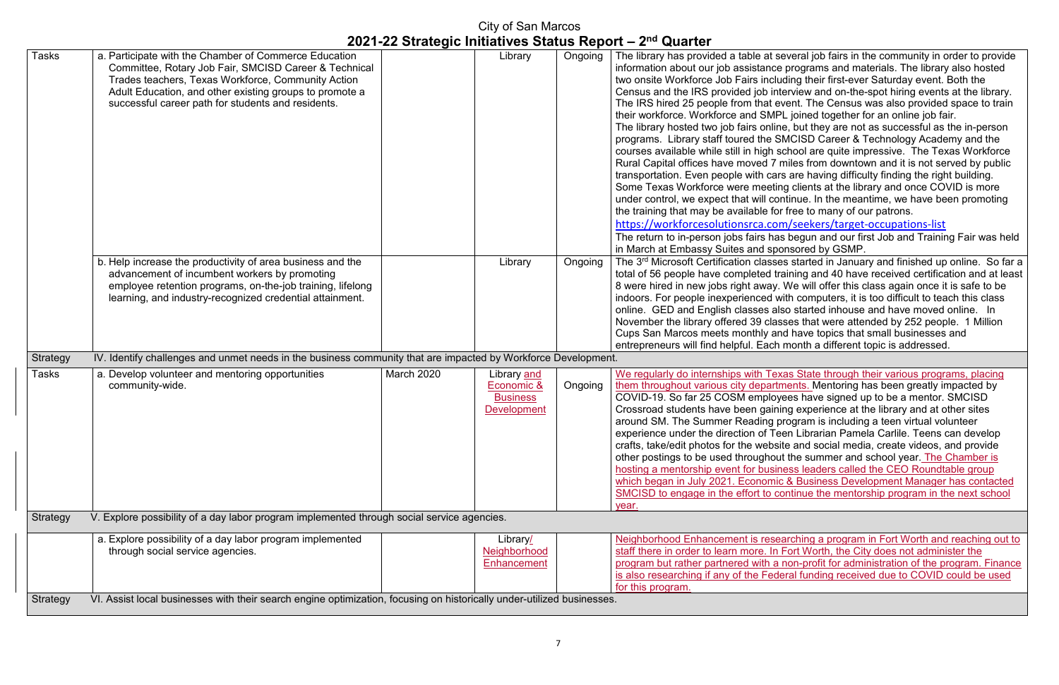several job fairs in the community in order to provide te programs and materials. The library also hosted luding their first-ever Saturday event. Both the nterview and on-the-spot hiring events at the library. event. The Census was also provided space to train IPL joined together for an online job fair.

ine, but they are not as successful as the in-person SMCISD Career & Technology Academy and the school are quite impressive. The Texas Workforce miles from downtown and it is not served by public ars are having difficulty finding the right building. ting clients at the library and once COVID is more continue. In the meantime, we have been promoting for free to many of our patrons.

om/seekers/target-occupations-list

 $\overline{\phantom{a}}$  as begun and our first Job and Training Fair was held ponsored by GSMP.

Library Ses started in January and finished up online. So far a training and 40 have received certification and at least y. We will offer this class again once it is safe to be with computers, it is too difficult to teach this class also started inhouse and have moved online. In asses that were attended by 252 people. 1 Million and have topics that small businesses and h month a different topic is addressed.

Exas State through their various programs, placing rtments. Mentoring has been greatly impacted by oyees have signed up to be a mentor. SMCISD ning experience at the library and at other sites program is including a teen virtual volunteer reen Librarian Pamela Carlile. Teens can develop site and social media, create videos, and provide out the summer and school year. The Chamber is iness leaders called the CEO Roundtable group ic & Business Development Manager has contacted continue the mentorship program in the next school

earching a program in Fort Worth and reaching out to n Fort Worth, the City does not administer the a non-profit for administration of the program. Finance deral funding received due to COVID could be used

| <b>Tasks</b>    | a. Participate with the Chamber of Commerce Education<br>Committee, Rotary Job Fair, SMCISD Career & Technical<br>Trades teachers, Texas Workforce, Community Action<br>Adult Education, and other existing groups to promote a<br>successful career path for students and residents. |                   | Library                                                            | Ongoing | The library has provided a table at<br>information about our job assistand<br>two onsite Workforce Job Fairs incl<br>Census and the IRS provided job in<br>The IRS hired 25 people from that<br>their workforce. Workforce and SM<br>The library hosted two job fairs onli<br>programs. Library staff toured the<br>courses available while still in high<br>Rural Capital offices have moved 7<br>transportation. Even people with ca<br>Some Texas Workforce were meet<br>under control, we expect that will co<br>the training that may be available fo<br>https://workforcesolutionsrca.co<br>The return to in-person jobs fairs ha<br>in March at Embassy Suites and sp |
|-----------------|---------------------------------------------------------------------------------------------------------------------------------------------------------------------------------------------------------------------------------------------------------------------------------------|-------------------|--------------------------------------------------------------------|---------|------------------------------------------------------------------------------------------------------------------------------------------------------------------------------------------------------------------------------------------------------------------------------------------------------------------------------------------------------------------------------------------------------------------------------------------------------------------------------------------------------------------------------------------------------------------------------------------------------------------------------------------------------------------------------|
|                 | b. Help increase the productivity of area business and the<br>advancement of incumbent workers by promoting<br>employee retention programs, on-the-job training, lifelong<br>learning, and industry-recognized credential attainment.                                                 |                   | Library                                                            | Ongoing | The 3rd Microsoft Certification class<br>total of 56 people have completed<br>8 were hired in new jobs right away<br>indoors. For people inexperienced<br>online. GED and English classes a<br>November the library offered 39 cla<br>Cups San Marcos meets monthly a<br>entrepreneurs will find helpful. Eacl                                                                                                                                                                                                                                                                                                                                                               |
| Strategy        | IV. Identify challenges and unmet needs in the business community that are impacted by Workforce Development.                                                                                                                                                                         |                   |                                                                    |         |                                                                                                                                                                                                                                                                                                                                                                                                                                                                                                                                                                                                                                                                              |
| Tasks           | a. Develop volunteer and mentoring opportunities<br>community-wide.                                                                                                                                                                                                                   | <b>March 2020</b> | Library and<br>Economic &<br><b>Business</b><br><b>Development</b> | Ongoing | We regularly do internships with Te<br>them throughout various city depar<br>COVID-19. So far 25 COSM emplo<br>Crossroad students have been gair<br>around SM. The Summer Reading<br>experience under the direction of T<br>crafts, take/edit photos for the web<br>other postings to be used througho<br>hosting a mentorship event for bus<br>which began in July 2021. Econom<br>SMCISD to engage in the effort to<br>year.                                                                                                                                                                                                                                               |
| <b>Strategy</b> | V. Explore possibility of a day labor program implemented through social service agencies.                                                                                                                                                                                            |                   |                                                                    |         |                                                                                                                                                                                                                                                                                                                                                                                                                                                                                                                                                                                                                                                                              |
|                 | a. Explore possibility of a day labor program implemented<br>through social service agencies.                                                                                                                                                                                         |                   | Library/<br>Neighborhood<br><b>Enhancement</b>                     |         | Neighborhood Enhancement is res<br>staff there in order to learn more. In<br>program but rather partnered with a                                                                                                                                                                                                                                                                                                                                                                                                                                                                                                                                                             |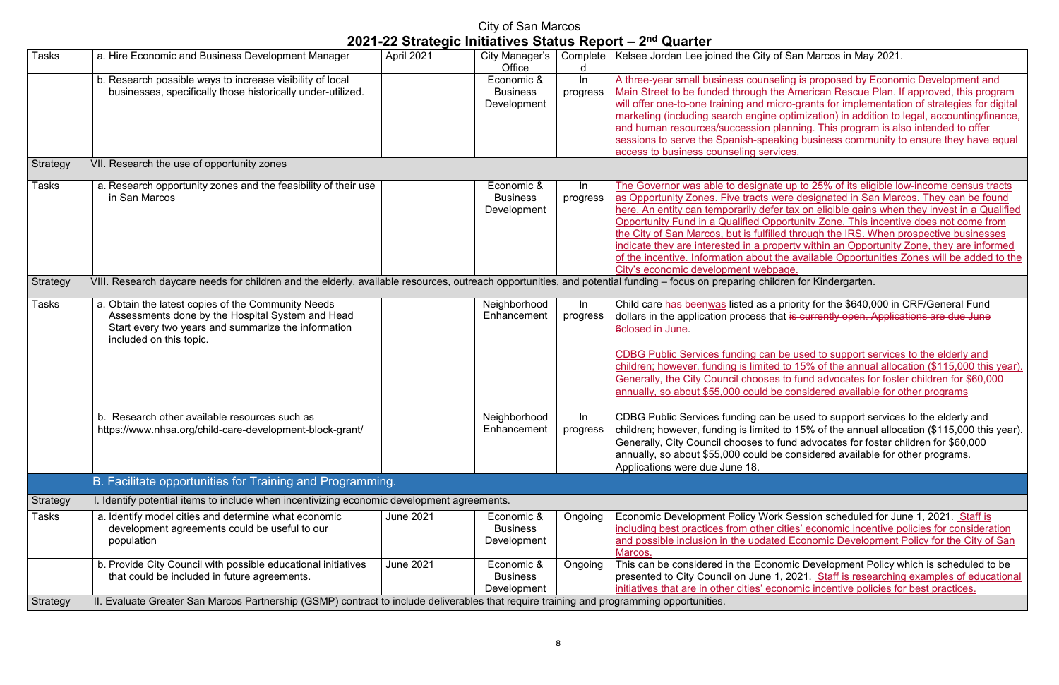of San Marcos in May 2021.

eling is proposed by Economic Development and he American Rescue Plan. If approved, this program nicro-grants for implementation of strategies for digital optimization) in addition to legal, accounting/finance, planning. This program is also intended to offer aking business community to ensure they have equal *i*ces.

te up to 25% of its eligible low-income census tracts vere designated in San Marcos. They can be found er tax on eligible gains when they invest in a Qualified oportunity Zone. This incentive does not come from the City of the IRS. When prospective businesses pperty within an Opportunity Zone, they are informed the available Opportunities Zones will be added to the <u>page.</u><br>dren for Kindergarten.

priority for the \$640,000 in CRF/General Fund hat <del>is currently open. Applications are due June</del>

be used to support services to the elderly and  $red$  to 15% of the annual allocation (\$115,000 this year). s to fund advocates for foster children for \$60,000 be considered available for other programs

be used to support services to the elderly and ed to 15% of the annual allocation (\$115,000 this year). fund advocates for foster children for \$60,000 e considered available for other programs.

The Session scheduled for June 1, 2021. Staff is cities' economic incentive policies for consideration ed Economic Development Policy for the City of San

nomic Development Policy which is scheduled to be 1, 2021. Staff is researching examples of educational conomic incentive policies for best practices.

|              |                                                                                                                                                                                          |                  |                                              |                   | 2021-22 Julaiegic Initiatives Jialus Report – 2 $^{\circ}$ Quarter                                                                                                                                                                                                                                                                                                                                                                                                                 |
|--------------|------------------------------------------------------------------------------------------------------------------------------------------------------------------------------------------|------------------|----------------------------------------------|-------------------|------------------------------------------------------------------------------------------------------------------------------------------------------------------------------------------------------------------------------------------------------------------------------------------------------------------------------------------------------------------------------------------------------------------------------------------------------------------------------------|
| <b>Tasks</b> | a. Hire Economic and Business Development Manager                                                                                                                                        | April 2021       | City Manager's<br>Office                     |                   | Complete   Kelsee Jordan Lee joined the City of San Marcos in May                                                                                                                                                                                                                                                                                                                                                                                                                  |
|              | b. Research possible ways to increase visibility of local<br>businesses, specifically those historically under-utilized.                                                                 |                  | Economic &<br><b>Business</b><br>Development | $\ln$<br>progress | A three-year small business counseling is proposed by E<br>Main Street to be funded through the American Rescue I<br>will offer one-to-one training and micro-grants for implem<br>marketing (including search engine optimization) in addit<br>and human resources/succession planning. This progran<br>sessions to serve the Spanish-speaking business commi<br>access to business counseling services.                                                                          |
| Strategy     | VII. Research the use of opportunity zones                                                                                                                                               |                  |                                              |                   |                                                                                                                                                                                                                                                                                                                                                                                                                                                                                    |
| <b>Tasks</b> | a. Research opportunity zones and the feasibility of their use<br>in San Marcos                                                                                                          |                  | Economic &<br><b>Business</b><br>Development | $\ln$<br>progress | The Governor was able to designate up to 25% of its elig<br>as Opportunity Zones. Five tracts were designated in Sa<br>here. An entity can temporarily defer tax on eligible gains<br>Opportunity Fund in a Qualified Opportunity Zone. This in<br>the City of San Marcos, but is fulfilled through the IRS. W<br>indicate they are interested in a property within an Oppor<br>of the incentive. Information about the available Opportui<br>City's economic development webpage. |
| Strategy     | VIII. Research daycare needs for children and the elderly, available resources, outreach opportunities, and potential funding - focus on preparing children for Kindergarten.            |                  |                                              |                   |                                                                                                                                                                                                                                                                                                                                                                                                                                                                                    |
| Tasks        | a. Obtain the latest copies of the Community Needs<br>Assessments done by the Hospital System and Head<br>Start every two years and summarize the information<br>included on this topic. |                  | Neighborhood<br>Enhancement                  | In<br>progress    | Child care has beenwas listed as a priority for the \$640,0<br>dollars in the application process that is currently open. /<br>6closed in June.<br>CDBG Public Services funding can be used to support se<br>children; however, funding is limited to 15% of the annua<br>Generally, the City Council chooses to fund advocates fo<br>annually, so about \$55,000 could be considered available                                                                                    |
|              | b. Research other available resources such as<br>https://www.nhsa.org/child-care-development-block-grant/                                                                                |                  | Neighborhood<br>Enhancement                  | In                | CDBG Public Services funding can be used to support se<br>progress   children; however, funding is limited to 15% of the annua<br>Generally, City Council chooses to fund advocates for for<br>annually, so about \$55,000 could be considered available<br>Applications were due June 18.                                                                                                                                                                                         |
|              | B. Facilitate opportunities for Training and Programming.                                                                                                                                |                  |                                              |                   |                                                                                                                                                                                                                                                                                                                                                                                                                                                                                    |
| Strategy     | I. Identify potential items to include when incentivizing economic development agreements.                                                                                               |                  |                                              |                   |                                                                                                                                                                                                                                                                                                                                                                                                                                                                                    |
| Tasks        | a. Identify model cities and determine what economic<br>development agreements could be useful to our<br>population                                                                      | <b>June 2021</b> | Economic &<br><b>Business</b><br>Development | Ongoing           | Economic Development Policy Work Session scheduled<br>including best practices from other cities' economic incer<br>and possible inclusion in the updated Economic Develop<br>Marcos.                                                                                                                                                                                                                                                                                              |
|              | b. Provide City Council with possible educational initiatives<br>that could be included in future agreements.                                                                            | <b>June 2021</b> | Economic &<br><b>Business</b><br>Development | Ongoing           | This can be considered in the Economic Development Po<br>presented to City Council on June 1, 2021. Staff is resea<br>initiatives that are in other cities' economic incentive polic                                                                                                                                                                                                                                                                                               |
| Strategy     | II. Evaluate Greater San Marcos Partnership (GSMP) contract to include deliverables that require training and programming opportunities.                                                 |                  |                                              |                   |                                                                                                                                                                                                                                                                                                                                                                                                                                                                                    |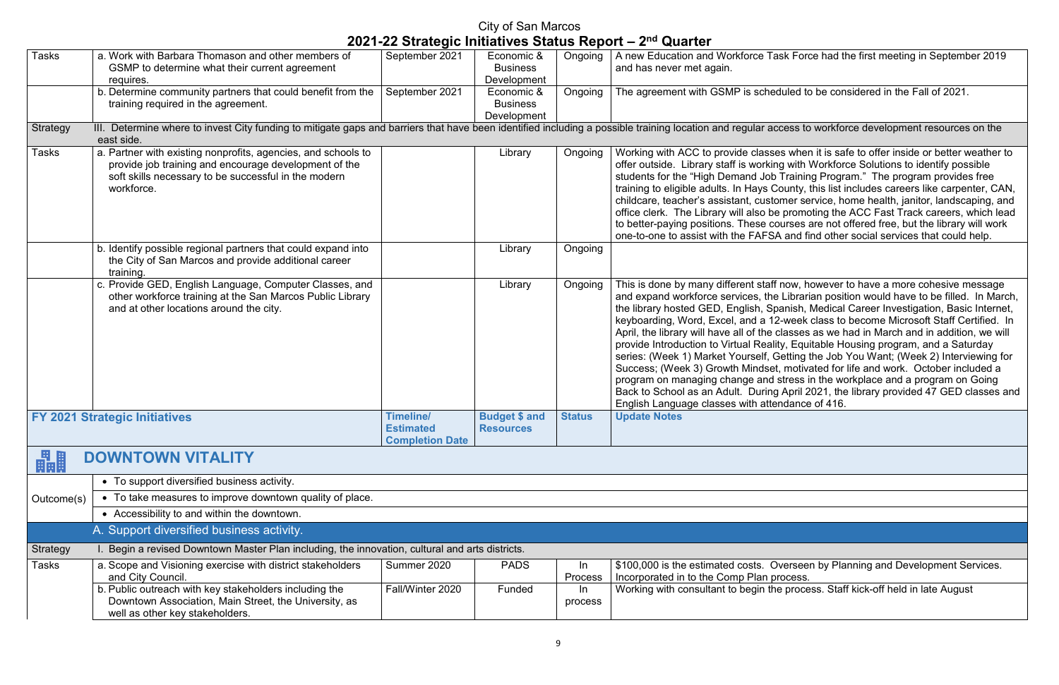ask Force had the first meeting in September 2019

duled to be considered in the Fall of 2021.

ccess to workforce development resources on the

es when it is safe to offer inside or better weather to ng with Workforce Solutions to identify possible Training Program." The program provides free County, this list includes careers like carpenter, CAN, omer service, home health, janitor, landscaping, and e promoting the ACC Fast Track careers, which lead tourses are not offered free, but the library will work A and find other social services that could help.

inow, however to have a more cohesive message e Librarian position would have to be filled. In March, panish, Medical Career Investigation, Basic Internet, 2-week class to become Microsoft Staff Certified. In classes as we had in March and in addition, we will lity, Equitable Housing program, and a Saturday Getting the Job You Want; (Week 2) Interviewing for  $P$  ist, motivated for life and work. October included a stress in the workplace and a program on Going g April 2021, the library provided 47 GED classes and endance of 416.

**Dyerseen by Planning and Development Services.** Incess.

e process. Staff kick-off held in late August

| <b>Tasks</b>    | a. Work with Barbara Thomason and other members of<br>GSMP to determine what their current agreement                                                                                         | September 2021                                                 | Economic &<br><b>Business</b>            | Ongoing       | A new Education and Workforce Ta<br>and has never met again.                                                                                                                                                                                                                                                                                                                                                                       |
|-----------------|----------------------------------------------------------------------------------------------------------------------------------------------------------------------------------------------|----------------------------------------------------------------|------------------------------------------|---------------|------------------------------------------------------------------------------------------------------------------------------------------------------------------------------------------------------------------------------------------------------------------------------------------------------------------------------------------------------------------------------------------------------------------------------------|
|                 | requires.                                                                                                                                                                                    |                                                                | Development                              |               |                                                                                                                                                                                                                                                                                                                                                                                                                                    |
|                 | b. Determine community partners that could benefit from the<br>training required in the agreement.                                                                                           | September 2021                                                 | Economic &<br><b>Business</b>            | Ongoing       | The agreement with GSMP is sche                                                                                                                                                                                                                                                                                                                                                                                                    |
|                 |                                                                                                                                                                                              |                                                                | Development                              |               |                                                                                                                                                                                                                                                                                                                                                                                                                                    |
| <b>Strategy</b> | III. Determine where to invest City funding to mitigate gaps and barriers that have been identified including a possible training location and regular ad<br>east side.                      |                                                                |                                          |               |                                                                                                                                                                                                                                                                                                                                                                                                                                    |
| <b>Tasks</b>    | a. Partner with existing nonprofits, agencies, and schools to<br>provide job training and encourage development of the<br>soft skills necessary to be successful in the modern<br>workforce. |                                                                | Library                                  | Ongoing       | Working with ACC to provide class<br>offer outside. Library staff is workir<br>students for the "High Demand Job<br>training to eligible adults. In Hays C<br>childcare, teacher's assistant, custo<br>office clerk. The Library will also be<br>to better-paying positions. These co<br>one-to-one to assist with the FAFS.                                                                                                       |
|                 | b. Identify possible regional partners that could expand into<br>the City of San Marcos and provide additional career<br>training.                                                           |                                                                | Library                                  | Ongoing       |                                                                                                                                                                                                                                                                                                                                                                                                                                    |
|                 | c. Provide GED, English Language, Computer Classes, and<br>other workforce training at the San Marcos Public Library<br>and at other locations around the city.                              |                                                                | Library                                  | Ongoing       | This is done by many different staff<br>and expand workforce services, the<br>the library hosted GED, English, Sp<br>keyboarding, Word, Excel, and a 1<br>April, the library will have all of the<br>provide Introduction to Virtual Reali<br>series: (Week 1) Market Yourself, 0<br>Success; (Week 3) Growth Mindse<br>program on managing change and<br>Back to School as an Adult. During<br>English Language classes with atte |
|                 | <b>FY 2021 Strategic Initiatives</b>                                                                                                                                                         | <b>Timeline/</b><br><b>Estimated</b><br><b>Completion Date</b> | <b>Budget \$ and</b><br><b>Resources</b> | <b>Status</b> | <b>Update Notes</b>                                                                                                                                                                                                                                                                                                                                                                                                                |
| 畾               | <b>DOWNTOWN VITALITY</b>                                                                                                                                                                     |                                                                |                                          |               |                                                                                                                                                                                                                                                                                                                                                                                                                                    |
|                 | • To support diversified business activity.                                                                                                                                                  |                                                                |                                          |               |                                                                                                                                                                                                                                                                                                                                                                                                                                    |
| Outcome(s)      | • To take measures to improve downtown quality of place.                                                                                                                                     |                                                                |                                          |               |                                                                                                                                                                                                                                                                                                                                                                                                                                    |
|                 | • Accessibility to and within the downtown.                                                                                                                                                  |                                                                |                                          |               |                                                                                                                                                                                                                                                                                                                                                                                                                                    |
|                 | A. Support diversified business activity.                                                                                                                                                    |                                                                |                                          |               |                                                                                                                                                                                                                                                                                                                                                                                                                                    |
| Strategy        | I. Begin a revised Downtown Master Plan including, the innovation, cultural and arts districts.                                                                                              |                                                                |                                          |               |                                                                                                                                                                                                                                                                                                                                                                                                                                    |
| <b>Tasks</b>    | a. Scope and Visioning exercise with district stakeholders<br>and City Council.                                                                                                              | Summer 2020                                                    | <b>PADS</b>                              | In<br>Process | \$100,000 is the estimated costs. C<br>Incorporated in to the Comp Plan p                                                                                                                                                                                                                                                                                                                                                          |
|                 | b. Public outreach with key stakeholders including the<br>Downtown Association, Main Street, the University, as<br>well as other key stakeholders.                                           | Fall/Winter 2020                                               | Funded                                   | In<br>process | Working with consultant to begin th                                                                                                                                                                                                                                                                                                                                                                                                |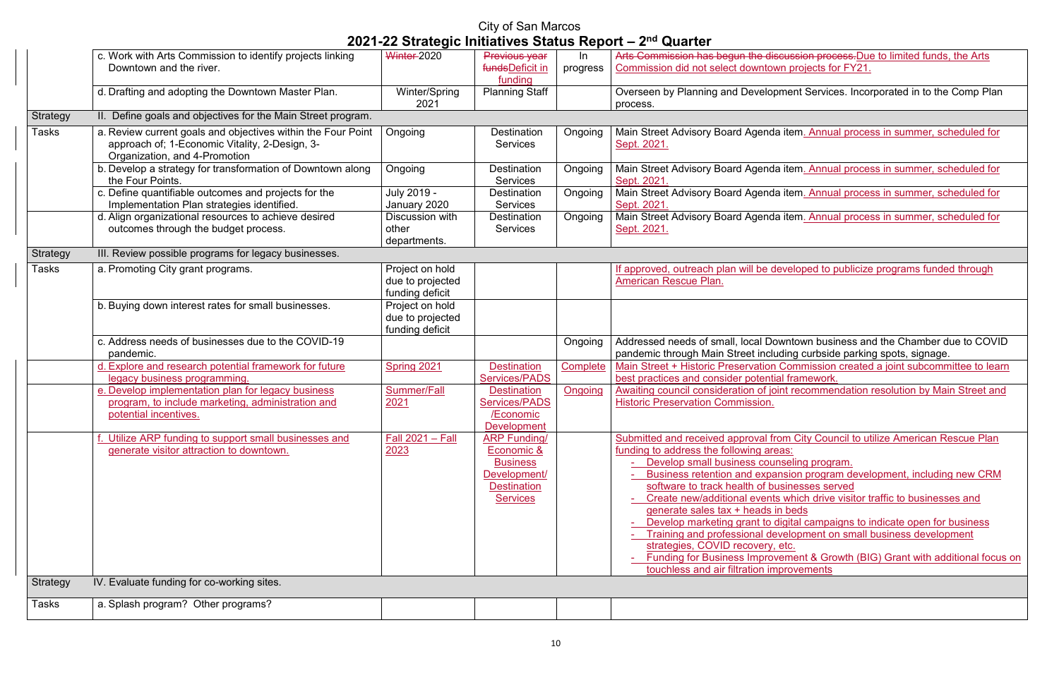**Arts Commission arts Commission process.**Due to limited funds, the Arts  $\n *wn*\n projects for FY21.\n$ 

oment Services. Incorporated in to the Comp Plan

Ia item. Annual process in summer, scheduled for

a item. Annual process in summer, scheduled for

la item. Annual process in summer, scheduled for

a item. Annual process in summer, scheduled for

leveloped to publicize programs funded through

owntown business and the Chamber due to COVID uding curbside parking spots, signage. Commission created a joint subcommittee to learn

al framework.

oint recommendation resolution by Main Street and

From City Council to utilize American Rescue Plan

nseling program.

ansion program development, including new CRM usinesses served

s which drive visitor traffic to businesses and in beds

digital campaigns to indicate open for business evelopment on small business development

etc.

vement & Growth (BIG) Grant with additional focus on **nprovements** 

|              |                                                                                                                                                 |                                                        |                                                                                                               |                | $\mathcal{L}$ us i se otratogio initiativos otatas itoport – z – waartor                                                                                                                                                                                                                                                                                                                                                                                     |
|--------------|-------------------------------------------------------------------------------------------------------------------------------------------------|--------------------------------------------------------|---------------------------------------------------------------------------------------------------------------|----------------|--------------------------------------------------------------------------------------------------------------------------------------------------------------------------------------------------------------------------------------------------------------------------------------------------------------------------------------------------------------------------------------------------------------------------------------------------------------|
|              | c. Work with Arts Commission to identify projects linking                                                                                       | <b>Winter-2020</b>                                     | Previous year                                                                                                 | In             | Arts Commission has begun the discus                                                                                                                                                                                                                                                                                                                                                                                                                         |
|              | Downtown and the river.                                                                                                                         |                                                        | fundsDeficit in<br>funding                                                                                    | progress       | Commission did not select downtown p                                                                                                                                                                                                                                                                                                                                                                                                                         |
|              | d. Drafting and adopting the Downtown Master Plan.                                                                                              | Winter/Spring<br>2021                                  | <b>Planning Staff</b>                                                                                         |                | Overseen by Planning and Developme<br>process.                                                                                                                                                                                                                                                                                                                                                                                                               |
| Strategy     | II. Define goals and objectives for the Main Street program.                                                                                    |                                                        |                                                                                                               |                |                                                                                                                                                                                                                                                                                                                                                                                                                                                              |
| Tasks        | a. Review current goals and objectives within the Four Point<br>approach of; 1-Economic Vitality, 2-Design, 3-<br>Organization, and 4-Promotion | Ongoing                                                | <b>Destination</b><br><b>Services</b>                                                                         | Ongoing        | Main Street Advisory Board Agenda ite<br>Sept. 2021.                                                                                                                                                                                                                                                                                                                                                                                                         |
|              | b. Develop a strategy for transformation of Downtown along<br>the Four Points.                                                                  | Ongoing                                                | Destination<br><b>Services</b>                                                                                | Ongoing        | Main Street Advisory Board Agenda ite<br>Sept. 2021                                                                                                                                                                                                                                                                                                                                                                                                          |
|              | c. Define quantifiable outcomes and projects for the<br>Implementation Plan strategies identified.                                              | July 2019 -<br>January 2020                            | <b>Destination</b><br><b>Services</b>                                                                         | Ongoing        | Main Street Advisory Board Agenda ite<br>Sept. 2021                                                                                                                                                                                                                                                                                                                                                                                                          |
|              | d. Align organizational resources to achieve desired<br>outcomes through the budget process.                                                    | <b>Discussion with</b><br>other<br>departments.        | <b>Destination</b><br><b>Services</b>                                                                         | Ongoing        | Main Street Advisory Board Agenda ite<br>Sept. 2021.                                                                                                                                                                                                                                                                                                                                                                                                         |
| Strategy     | III. Review possible programs for legacy businesses.                                                                                            |                                                        |                                                                                                               |                |                                                                                                                                                                                                                                                                                                                                                                                                                                                              |
| <b>Tasks</b> | a. Promoting City grant programs.                                                                                                               | Project on hold<br>due to projected<br>funding deficit |                                                                                                               |                | If approved, outreach plan will be deve<br><b>American Rescue Plan.</b>                                                                                                                                                                                                                                                                                                                                                                                      |
|              | b. Buying down interest rates for small businesses.                                                                                             | Project on hold<br>due to projected<br>funding deficit |                                                                                                               |                |                                                                                                                                                                                                                                                                                                                                                                                                                                                              |
|              | c. Address needs of businesses due to the COVID-19<br>pandemic.                                                                                 |                                                        |                                                                                                               | Ongoing        | Addressed needs of small, local Downt<br>pandemic through Main Street includin                                                                                                                                                                                                                                                                                                                                                                               |
|              | d. Explore and research potential framework for future<br><u>legacy business programming.</u>                                                   | Spring 2021                                            | <b>Destination</b><br><b>Services/PADS</b>                                                                    | Complete       | Main Street + Historic Preservation Co<br>best practices and consider potential fr                                                                                                                                                                                                                                                                                                                                                                           |
|              | e. Develop implementation plan for legacy business<br>program, to include marketing, administration and<br>potential incentives.                | <b>Summer/Fall</b><br>2021                             | <b>Destination</b><br><b>Services/PADS</b><br>/Economic<br><b>Development</b>                                 | <b>Ongoing</b> | Awaiting council consideration of joint i<br><b>Historic Preservation Commission.</b>                                                                                                                                                                                                                                                                                                                                                                        |
|              | f. Utilize ARP funding to support small businesses and<br>generate visitor attraction to downtown.                                              | Fall 2021 - Fall<br>2023                               | <b>ARP Funding/</b><br>Economic &<br><b>Business</b><br>Development/<br><b>Destination</b><br><b>Services</b> |                | Submitted and received approval from<br>funding to address the following areas:<br>- Develop small business counse<br>- Business retention and expansion<br>software to track health of busin<br>Create new/additional events wh<br>generate sales tax + heads in be<br>Develop marketing grant to digit<br>Training and professional devel<br>strategies, COVID recovery, etc<br><b>Funding for Business Improvem</b><br>touchless and air filtration impro |
| Strategy     | IV. Evaluate funding for co-working sites.                                                                                                      |                                                        |                                                                                                               |                |                                                                                                                                                                                                                                                                                                                                                                                                                                                              |
| <b>Tasks</b> | a. Splash program? Other programs?                                                                                                              |                                                        |                                                                                                               |                |                                                                                                                                                                                                                                                                                                                                                                                                                                                              |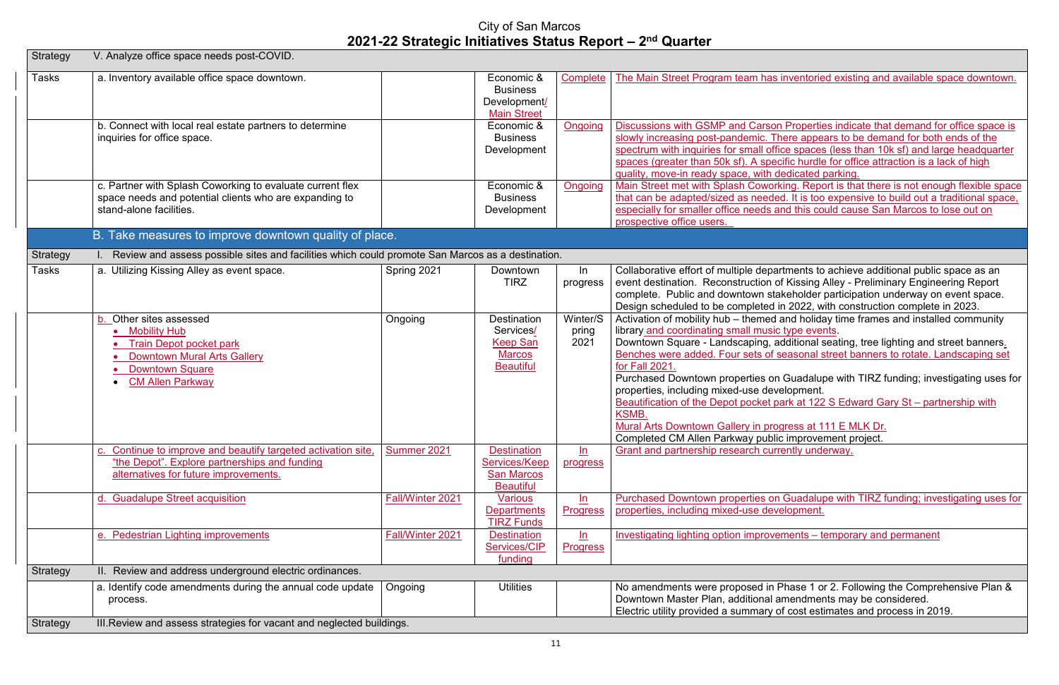s inventoried existing and available space downtown.

on Properties indicate that demand for office space is There appears to be demand for both ends of the fice spaces (less than 10k sf) and large headquarter ecific hurdle for office attraction is a lack of high

dedicated parking.

rking. Report is that there is not enough flexible space ed. It is too expensive to build out a traditional space, and this could cause San Marcos to lose out on

artments to achieve additional public space as an of Kissing Alley - Preliminary Engineering Report takeholder participation underway on event space. in 2022, with construction complete in 2023.

I and holiday time frames and installed community c type events.

additional seating, tree lighting and street banners.  $\overline{\phantom{a}}$  seasonal street banners to rotate. Landscaping set

on Guadalupe with TIRZ funding; investigating uses for velopment.

park at 122 S Edward Gary St – partnership with

ogress at 111 E MLK Dr. lic improvement project. rrently underway.

In Guadalupe with TIRZ funding; investigating uses for velopment.

 $i$ ements – temporary and permanent

Phase 1 or 2. Following the Comprehensive Plan & amendments may be considered. of cost estimates and process in 2019.

| Strategy        | V. Analyze office space needs post-COVID.                                                                                                                              |                  |                                                                                         |                           |                                                                                                                                                                                                                                                                                                                                                                                         |
|-----------------|------------------------------------------------------------------------------------------------------------------------------------------------------------------------|------------------|-----------------------------------------------------------------------------------------|---------------------------|-----------------------------------------------------------------------------------------------------------------------------------------------------------------------------------------------------------------------------------------------------------------------------------------------------------------------------------------------------------------------------------------|
| <b>Tasks</b>    | a. Inventory available office space downtown.                                                                                                                          |                  | Economic &<br><b>Business</b><br>Development/<br><b>Main Street</b>                     | Complete                  | The Main Street Program team has                                                                                                                                                                                                                                                                                                                                                        |
|                 | b. Connect with local real estate partners to determine<br>inquiries for office space.                                                                                 |                  | Economic &<br><b>Business</b><br>Development                                            | <b>Ongoing</b>            | <b>Discussions with GSMP and Carso</b><br>slowly increasing post-pandemic. T<br>spectrum with inquiries for small of<br>spaces (greater than 50k sf). A spe<br>quality, move-in ready space, with                                                                                                                                                                                       |
|                 | c. Partner with Splash Coworking to evaluate current flex<br>space needs and potential clients who are expanding to<br>stand-alone facilities.                         |                  | Economic &<br><b>Business</b><br>Development                                            | Ongoing                   | <b>Main Street met with Splash Cowor</b><br>that can be adapted/sized as need<br>especially for smaller office needs<br>prospective office users.                                                                                                                                                                                                                                       |
|                 | B. Take measures to improve downtown quality of place.                                                                                                                 |                  |                                                                                         |                           |                                                                                                                                                                                                                                                                                                                                                                                         |
| Strategy        | Review and assess possible sites and facilities which could promote San Marcos as a destination.                                                                       |                  |                                                                                         |                           |                                                                                                                                                                                                                                                                                                                                                                                         |
| Tasks           | a. Utilizing Kissing Alley as event space.                                                                                                                             | Spring 2021      | Downtown<br><b>TIRZ</b>                                                                 | In<br>progress            | Collaborative effort of multiple depa<br>event destination. Reconstruction<br>complete. Public and downtown st<br>Design scheduled to be completed                                                                                                                                                                                                                                      |
|                 | b. Other sites assessed<br>• Mobility Hub<br><b>Train Depot pocket park</b><br><b>Downtown Mural Arts Gallery</b><br><b>Downtown Square</b><br><b>CM Allen Parkway</b> | Ongoing          | <b>Destination</b><br>Services/<br><b>Keep San</b><br><b>Marcos</b><br><b>Beautiful</b> | Winter/S<br>pring<br>2021 | Activation of mobility hub - themed<br>library and coordinating small musi<br>Downtown Square - Landscaping, a<br>Benches were added. Four sets of<br>for Fall 2021.<br>Purchased Downtown properties or<br>properties, including mixed-use dev<br><b>Beautification of the Depot pocket p</b><br>KSMB.<br>Mural Arts Downtown Gallery in pro<br><b>Completed CM Allen Parkway publ</b> |
|                 | Continue to improve and beautify targeted activation site,<br>"the Depot". Explore partnerships and funding<br>alternatives for future improvements.                   | Summer 2021      | <b>Destination</b><br>Services/Keep<br><b>San Marcos</b><br><b>Beautiful</b>            | ln<br>progress            | <b>Grant and partnership research cur</b>                                                                                                                                                                                                                                                                                                                                               |
|                 | d. Guadalupe Street acquisition                                                                                                                                        | Fall/Winter 2021 | <b>Various</b><br><b>Departments</b><br><b>TIRZ Funds</b>                               | ln<br><b>Progress</b>     | <b>Purchased Downtown properties of</b><br>properties, including mixed-use dev                                                                                                                                                                                                                                                                                                          |
|                 | e. Pedestrian Lighting improvements                                                                                                                                    | Fall/Winter 2021 | <b>Destination</b><br>Services/CIP<br>funding                                           | ln<br><b>Progress</b>     | <b>Investigating lighting option improver</b>                                                                                                                                                                                                                                                                                                                                           |
| Strategy        | II. Review and address underground electric ordinances.                                                                                                                |                  |                                                                                         |                           |                                                                                                                                                                                                                                                                                                                                                                                         |
|                 | a. Identify code amendments during the annual code update<br>process.                                                                                                  | Ongoing          | <b>Utilities</b>                                                                        |                           | No amendments were proposed in<br>Downtown Master Plan, additional<br>Electric utility provided a summary                                                                                                                                                                                                                                                                               |
| <b>Strategy</b> | III. Review and assess strategies for vacant and neglected buildings.                                                                                                  |                  |                                                                                         |                           |                                                                                                                                                                                                                                                                                                                                                                                         |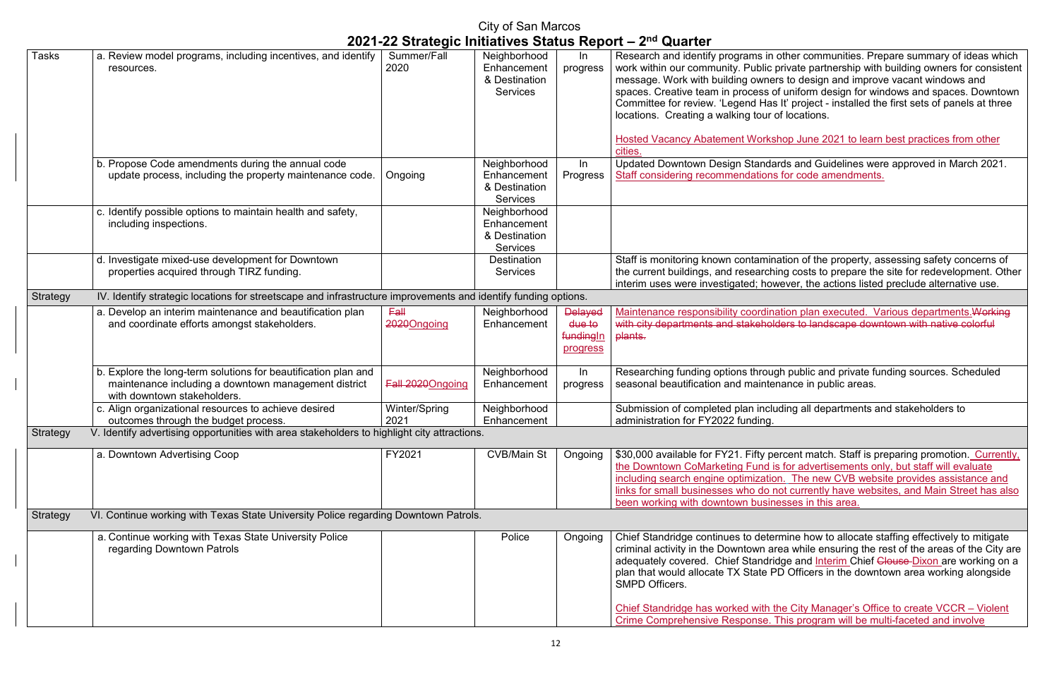other communities. Prepare summary of ideas which private partnership with building owners for consistent message. Work in and improve vacant windows and of uniform design for windows and spaces. Downtown It' project - installed the first sets of panels at three of locations.

hop June 2021 to learn best practices from other

ards and Guidelines were approved in March 2021. s for code amendments.

ation of the property, assessing safety concerns of ing costs to prepare the site for redevelopment. Other wever, the actions listed preclude alternative use.

ation plan executed. Various departments. Working ders to landscape downtown with native colorful

gh public and private funding sources. Scheduled nance in public areas.

ding all departments and stakeholders to

ercent match. Staff is preparing promotion. Currently, s for advertisements only, but staff will evaluate on. The new CVB website provides assistance and not currently have websites, and Main Street has also esses in this area.

rmine how to allocate staffing effectively to mitigate rea while ensuring the rest of the areas of the City are dge and Interim Chief <del>Clouse </del>Dixon are working on a  $\overline{PD}$  Officers in the downtown area working alongside

|                 |                                                                                                                                                       |                       | <b>City of San Marcos</b>                                       |                                                   |                                                                                                                                                                                                                                                                                                                                                               |
|-----------------|-------------------------------------------------------------------------------------------------------------------------------------------------------|-----------------------|-----------------------------------------------------------------|---------------------------------------------------|---------------------------------------------------------------------------------------------------------------------------------------------------------------------------------------------------------------------------------------------------------------------------------------------------------------------------------------------------------------|
| Tasks           | a. Review model programs, including incentives, and identify<br>resources.                                                                            | Summer/Fall<br>2020   | Neighborhood<br>Enhancement<br>& Destination<br><b>Services</b> | In<br>progress                                    | 2021-22 Strategic Initiatives Status Report – 2 <sup>nd</sup> Quarter<br>Research and identify programs in<br>work within our community. Public p<br>message. Work with building owner<br>spaces. Creative team in process o<br>Committee for review. 'Legend Has<br>locations. Creating a walking tour o<br><b>Hosted Vacancy Abatement Works</b><br>cities. |
|                 | b. Propose Code amendments during the annual code<br>update process, including the property maintenance code.                                         | Ongoing               | Neighborhood<br>Enhancement<br>& Destination<br><b>Services</b> | In<br>Progress                                    | <b>Updated Downtown Design Standa</b><br><b>Staff considering recommendations</b>                                                                                                                                                                                                                                                                             |
|                 | c. Identify possible options to maintain health and safety,<br>including inspections.                                                                 |                       | Neighborhood<br>Enhancement<br>& Destination<br><b>Services</b> |                                                   |                                                                                                                                                                                                                                                                                                                                                               |
|                 | d. Investigate mixed-use development for Downtown<br>properties acquired through TIRZ funding.                                                        |                       | <b>Destination</b><br><b>Services</b>                           |                                                   | Staff is monitoring known contamina<br>the current buildings, and researchi<br>interim uses were investigated; how                                                                                                                                                                                                                                            |
| <b>Strategy</b> | IV. Identify strategic locations for streetscape and infrastructure improvements and identify funding options.                                        |                       |                                                                 |                                                   |                                                                                                                                                                                                                                                                                                                                                               |
|                 | a. Develop an interim maintenance and beautification plan<br>and coordinate efforts amongst stakeholders.                                             | Fall<br>2020Ongoing   | Neighborhood<br>Enhancement                                     | <b>Delayed</b><br>due to<br>fundingIn<br>progress | Maintenance responsibility coordina<br>with city departments and stakehold<br>plants.                                                                                                                                                                                                                                                                         |
|                 | b. Explore the long-term solutions for beautification plan and<br>maintenance including a downtown management district<br>with downtown stakeholders. | Fall 2020Ongoing      | Neighborhood<br>Enhancement                                     | In<br>progress                                    | Researching funding options throug<br>seasonal beautification and mainter                                                                                                                                                                                                                                                                                     |
|                 | c. Align organizational resources to achieve desired<br>outcomes through the budget process.                                                          | Winter/Spring<br>2021 | Neighborhood<br>Enhancement                                     |                                                   | Submission of completed plan inclu<br>administration for FY2022 funding.                                                                                                                                                                                                                                                                                      |
| Strategy        | V. Identify advertising opportunities with area stakeholders to highlight city attractions.                                                           |                       |                                                                 |                                                   |                                                                                                                                                                                                                                                                                                                                                               |
|                 | a. Downtown Advertising Coop                                                                                                                          | FY2021                | <b>CVB/Main St</b>                                              | Ongoing                                           | \$30,000 available for FY21. Fifty pe<br>the Downtown CoMarketing Fund is<br>including search engine optimizatio<br>links for small businesses who do n<br>been working with downtown busine                                                                                                                                                                  |
| <b>Strategy</b> | VI. Continue working with Texas State University Police regarding Downtown Patrols.                                                                   |                       |                                                                 |                                                   |                                                                                                                                                                                                                                                                                                                                                               |
|                 | a. Continue working with Texas State University Police<br>regarding Downtown Patrols                                                                  |                       | Police                                                          | Ongoing                                           | Chief Standridge continues to deter<br>criminal activity in the Downtown ar<br>adequately covered. Chief Standrid<br>plan that would allocate TX State P<br><b>SMPD Officers.</b>                                                                                                                                                                             |
|                 |                                                                                                                                                       |                       |                                                                 |                                                   | <b>Chief Standridge has worked with th</b><br><u>Crimo Comproboncivo</u> Poenonco J                                                                                                                                                                                                                                                                           |

Chief Standridge has worked with the City Manager's Office to create VCCR – Violent Crime Comprehensive Response. This program will be multi-faceted and involve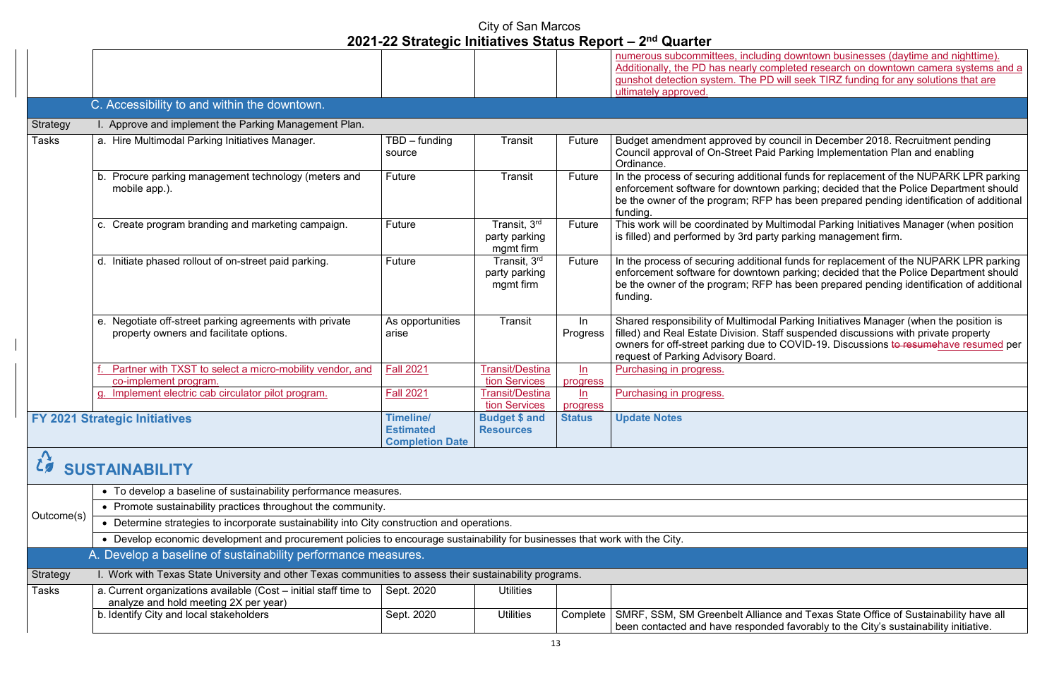downtown businesses (daytime and nighttime). pleted research on downtown camera systems and a will seek TIRZ funding for any solutions that are

ouncil in December 2018. Recruitment pending Parking Implementation Plan and enabling

I funds for replacement of the NUPARK LPR parking enforcement software for downtown parking; decided that the Police Department should has been prepared pending identification of additional

Iltimodal Parking Initiatives Manager (when position parking management firm.

I funds for replacement of the NUPARK LPR parking parking; decided that the Police Department should has been prepared pending identification of additional

Parking Initiatives Manager (when the position is ff suspended discussions with private property COVID-19. Discussions to resumehave resumed per

b. Identify and Texas State Office of Sustainability have alliance ed favorably to the City's sustainability initiative.

|                 |                                                                       |                                                                |                                            |               | numerous subcommittees, including                                                                                              |
|-----------------|-----------------------------------------------------------------------|----------------------------------------------------------------|--------------------------------------------|---------------|--------------------------------------------------------------------------------------------------------------------------------|
|                 |                                                                       |                                                                |                                            |               | Additionally, the PD has nearly comp                                                                                           |
|                 |                                                                       |                                                                |                                            |               | gunshot detection system. The PD w                                                                                             |
|                 |                                                                       |                                                                |                                            |               | ultimately approved.                                                                                                           |
|                 | C. Accessibility to and within the downtown.                          |                                                                |                                            |               |                                                                                                                                |
|                 |                                                                       |                                                                |                                            |               |                                                                                                                                |
| <b>Strategy</b> | I. Approve and implement the Parking Management Plan.                 |                                                                |                                            |               |                                                                                                                                |
| <b>Tasks</b>    | a. Hire Multimodal Parking Initiatives Manager.                       | $TBD$ – funding<br>source                                      | Transit                                    | Future        | Budget amendment approved by cor<br>Council approval of On-Street Paid F<br>Ordinance.                                         |
|                 | b. Procure parking management technology (meters and<br>mobile app.). | Future                                                         | <b>Transit</b>                             | Future        | In the process of securing additional<br>enforcement software for downtown<br>be the owner of the program; RFP has<br>funding. |
|                 | c. Create program branding and marketing campaign.                    | Future                                                         | Transit, 3rd<br>party parking<br>mgmt firm | Future        | This work will be coordinated by Mul<br>is filled) and performed by 3rd party                                                  |
|                 | d. Initiate phased rollout of on-street paid parking.                 | Future                                                         | Transit, 3rd<br>party parking<br>mgmt firm | Future        | In the process of securing additional<br>enforcement software for downtown<br>be the owner of the program; RFP has<br>funding. |
|                 | e. Negotiate off-street parking agreements with private               | As opportunities                                               | <b>Transit</b>                             | In            | Shared responsibility of Multimodal F                                                                                          |
|                 | property owners and facilitate options.                               | arise                                                          |                                            | Progress      | filled) and Real Estate Division. Staff<br>owners for off-street parking due to (<br>request of Parking Advisory Board.        |
|                 | Partner with TXST to select a micro-mobility vendor, and              | <b>Fall 2021</b>                                               | <b>Transit/Destina</b>                     | $\ln$         | Purchasing in progress.                                                                                                        |
|                 | co-implement program.                                                 |                                                                | tion Services                              | progress      |                                                                                                                                |
|                 | g. Implement electric cab circulator pilot program.                   | <b>Fall 2021</b>                                               | <b>Transit/Destina</b>                     | ln            | Purchasing in progress.                                                                                                        |
|                 |                                                                       |                                                                | tion Services                              | progress      |                                                                                                                                |
|                 | <b>FY 2021 Strategic Initiatives</b>                                  | <b>Timeline/</b><br><b>Estimated</b><br><b>Completion Date</b> | <b>Budget \$ and</b><br><b>Resources</b>   | <b>Status</b> | <b>Update Notes</b>                                                                                                            |
|                 | <b>SUSTAINABILITY</b>                                                 |                                                                |                                            |               |                                                                                                                                |

|              | • To develop a baseline of sustainability performance measures.                                           |                                                                                                                           |                  |          |                                                                      |  |  |  |
|--------------|-----------------------------------------------------------------------------------------------------------|---------------------------------------------------------------------------------------------------------------------------|------------------|----------|----------------------------------------------------------------------|--|--|--|
| Outcome(s)   | Promote sustainability practices throughout the community.                                                |                                                                                                                           |                  |          |                                                                      |  |  |  |
|              |                                                                                                           | Determine strategies to incorporate sustainability into City construction and operations.                                 |                  |          |                                                                      |  |  |  |
|              |                                                                                                           | Develop economic development and procurement policies to encourage sustainability for businesses that work with the City. |                  |          |                                                                      |  |  |  |
|              | A. Develop a baseline of sustainability performance measures.                                             |                                                                                                                           |                  |          |                                                                      |  |  |  |
| Strategy     | I. Work with Texas State University and other Texas communities to assess their sustainability programs.  |                                                                                                                           |                  |          |                                                                      |  |  |  |
| <b>Tasks</b> | a. Current organizations available (Cost – initial staff time to<br>analyze and hold meeting 2X per year) | Sept. 2020                                                                                                                | <b>Utilities</b> |          |                                                                      |  |  |  |
|              | b. Identify City and local stakeholders                                                                   | Sept. 2020                                                                                                                | <b>Utilities</b> | Complete | SMRF, SSM, SM Greenbelt Alliance<br>been contacted and have responde |  |  |  |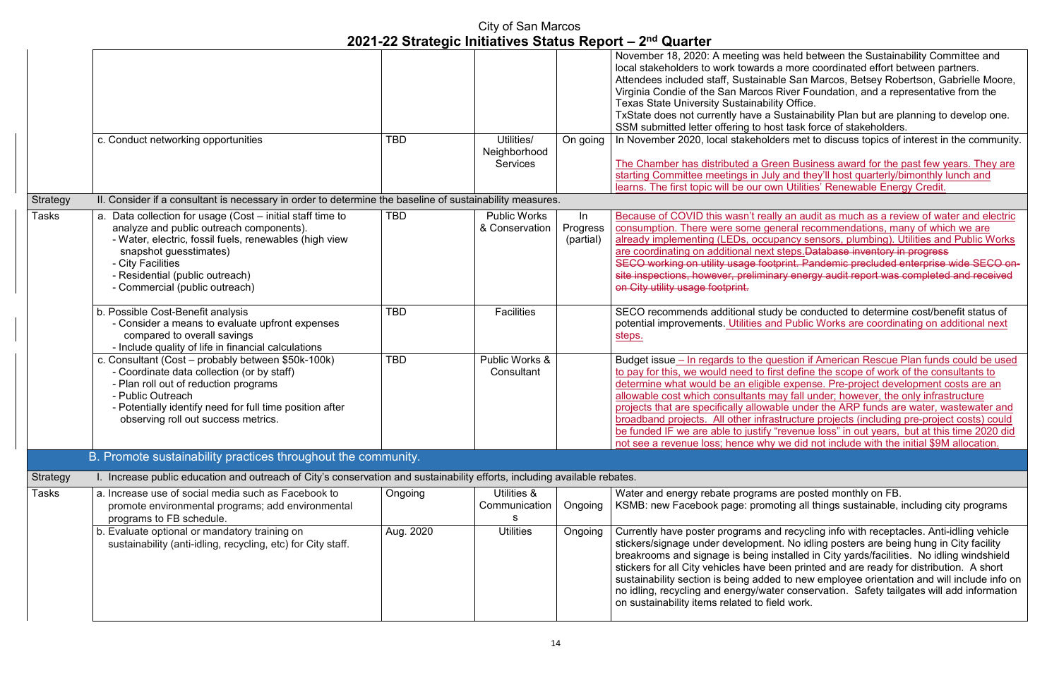s held between the Sustainability Committee and a more coordinated effort between partners. <sub>.</sub><br>Die San Marcos, Betsey Robertson, Gabrielle Moore, River Foundation, and a representative from the ty Office.

Sustainability Plan but are planning to develop one. st task force of stakeholders.

ers met to discuss topics of interest in the community.

een Business award for the past few years. They are y and they'll host quarterly/bimonthly lunch and **un Utilities' Renewable Energy Credit.** 

Iy an audit as much as a review of water and electric neral recommendations, many of which we are bancy sensors, plumbing). Utilities and Public Works steps.Database inventory in progress print. Pandemic precluded enterprise wide SECO onary energy audit report was completed and received

Iy be conducted to determine cost/benefit status of d Public Works are coordinating on additional next

lestion if American Rescue Plan funds could be used the form the scope of work of the consultants to e expense. Pre-project development costs are an ay fall under; however, the only infrastructure ble under the ARP funds are water, wastewater and structure projects (including pre-project costs) could "revenue loss" in out years, but at this time 2020 did we did not include with the initial \$9M allocation.

are posted monthly on FB. oting all things sustainable, including city programs

d recycling info with receptacles. Anti-idling vehicle nt. No idling posters are being hung in City facility nstalled in City yards/facilities. No idling windshield een printed and are ready for distribution. A short ed to new employee orientation and will include info on er conservation. Safety tailgates will add information. ld work.

|                 |                                                                                                                                                                                                                                                                                      |            |                                               |                             | 2021-22 Julaiegic Initiatives Jialus Report – 2 $\pm$ Quarter                                                                                                                                                                                                                                                                                                                                                                              |
|-----------------|--------------------------------------------------------------------------------------------------------------------------------------------------------------------------------------------------------------------------------------------------------------------------------------|------------|-----------------------------------------------|-----------------------------|--------------------------------------------------------------------------------------------------------------------------------------------------------------------------------------------------------------------------------------------------------------------------------------------------------------------------------------------------------------------------------------------------------------------------------------------|
|                 | c. Conduct networking opportunities                                                                                                                                                                                                                                                  | <b>TBD</b> | Utilities/<br>Neighborhood<br><b>Services</b> | On going                    | November 18, 2020: A meeting was<br>local stakeholders to work towards<br>Attendees included staff, Sustainab<br>Virginia Condie of the San Marcos<br><b>Texas State University Sustainabilit</b><br>TxState does not currently have a S<br>SSM submitted letter offering to ho<br>In November 2020, local stakehold<br>The Chamber has distributed a Gre<br>starting Committee meetings in July<br>learns. The first topic will be our ow |
| <b>Strategy</b> | II. Consider if a consultant is necessary in order to determine the baseline of sustainability measures.                                                                                                                                                                             |            |                                               |                             |                                                                                                                                                                                                                                                                                                                                                                                                                                            |
| <b>Tasks</b>    | a. Data collection for usage (Cost - initial staff time to<br>analyze and public outreach components).<br>- Water, electric, fossil fuels, renewables (high view<br>snapshot guesstimates)<br>- City Facilities<br>- Residential (public outreach)<br>- Commercial (public outreach) | <b>TBD</b> | <b>Public Works</b><br>& Conservation         | In<br>Progress<br>(partial) | Because of COVID this wasn't reall<br>consumption. There were some get<br>already implementing (LEDs, occup<br>are coordinating on additional next<br><b>SECO working on utility usage foot</b><br>site inspections, however, prelimina<br>on City utility usage footprint.                                                                                                                                                                |
|                 | b. Possible Cost-Benefit analysis<br>- Consider a means to evaluate upfront expenses<br>compared to overall savings<br>- Include quality of life in financial calculations                                                                                                           | <b>TBD</b> | <b>Facilities</b>                             |                             | SECO recommends additional stud<br>potential improvements. Utilities an<br>steps.                                                                                                                                                                                                                                                                                                                                                          |
|                 | c. Consultant (Cost – probably between \$50k-100k)<br>- Coordinate data collection (or by staff)<br>- Plan roll out of reduction programs<br>- Public Outreach<br>- Potentially identify need for full time position after<br>observing roll out success metrics.                    | <b>TBD</b> | Public Works &<br>Consultant                  |                             | Budget issue - In regards to the qu<br>to pay for this, we would need to fir<br>determine what would be an eligible<br>allowable cost which consultants m<br>projects that are specifically allowal<br>broadband projects. All other infras<br>be funded IF we are able to justify "<br>not see a revenue loss; hence why                                                                                                                  |
|                 | B. Promote sustainability practices throughout the community.                                                                                                                                                                                                                        |            |                                               |                             |                                                                                                                                                                                                                                                                                                                                                                                                                                            |
| <b>Strategy</b> | I. Increase public education and outreach of City's conservation and sustainability efforts, including available rebates.                                                                                                                                                            |            |                                               |                             |                                                                                                                                                                                                                                                                                                                                                                                                                                            |
| <b>Tasks</b>    | a. Increase use of social media such as Facebook to<br>promote environmental programs; add environmental<br>programs to FB schedule.                                                                                                                                                 | Ongoing    | Utilities &<br>Communication<br>S             | Ongoing                     | Water and energy rebate programs<br>KSMB: new Facebook page: promo                                                                                                                                                                                                                                                                                                                                                                         |
|                 | b. Evaluate optional or mandatory training on<br>sustainability (anti-idling, recycling, etc) for City staff.                                                                                                                                                                        | Aug. 2020  | <b>Utilities</b>                              | Ongoing                     | Currently have poster programs an<br>stickers/signage under developmer<br>breakrooms and signage is being ir<br>stickers for all City vehicles have be<br>sustainability section is being added<br>no idling, recycling and energy/wate<br>on sustainability items related to fie                                                                                                                                                          |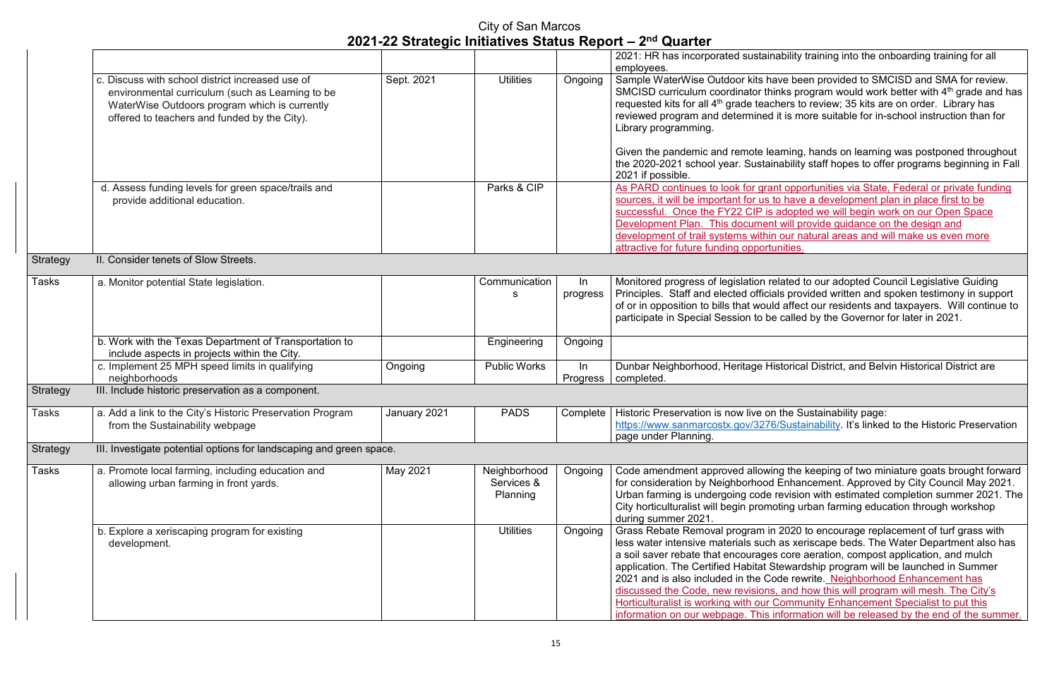ability training into the onboarding training for all

ave been provided to SMCISD and SMA for review. nks program would work better with  $4<sup>th</sup>$  grade and has hers to review; 35 kits are on order. Library has it is more suitable for in-school instruction than for

arning, hands on learning was postponed throughout hability staff hopes to offer programs beginning in Fall

nt opportunities via State, Federal or private funding o have a development plan in place first to be adopted we will begin work on our Open Space will provide guidance on the design and our natural areas and will make us even more inities.

elated to our adopted Council Legislative Guiding Is provided written and spoken testimony in support d affect our residents and taxpayers. Will continue to called by the Governor for later in 2021.

storical District, and Belvin Historical District are

the Sustainability page: /Sustainability. It's linked to the Historic Preservation

ng the keeping of two miniature goats brought forward  $\overline{\text{E}}$ nhancement. Approved by City Council May 2021. revision with estimated completion summer 2021. The oting urban farming education through workshop

2020 to encourage replacement of turf grass with as xeriscape beds. The Water Department also has core aeration, compost application, and mulch tewardship program will be launched in Summer de rewrite. Neighborhood Enhancement has , and how this will program will mesh. The City's Community Enhancement Specialist to put this nformation will be released by the end of the summer.

|                 |                                                                                                                                                                                                       |              |                                        |                   | 2021: HR has incorporated sustain<br>employees.                                                                                                                                                                                                                                                                    |
|-----------------|-------------------------------------------------------------------------------------------------------------------------------------------------------------------------------------------------------|--------------|----------------------------------------|-------------------|--------------------------------------------------------------------------------------------------------------------------------------------------------------------------------------------------------------------------------------------------------------------------------------------------------------------|
|                 | c. Discuss with school district increased use of<br>environmental curriculum (such as Learning to be<br>WaterWise Outdoors program which is currently<br>offered to teachers and funded by the City). | Sept. 2021   | <b>Utilities</b>                       | Ongoing           | Sample WaterWise Outdoor kits ha<br>SMCISD curriculum coordinator thi<br>requested kits for all 4 <sup>th</sup> grade teacl<br>reviewed program and determined<br>Library programming.<br>Given the pandemic and remote lea                                                                                        |
|                 |                                                                                                                                                                                                       |              |                                        |                   | the 2020-2021 school year. Sustair<br>2021 if possible.                                                                                                                                                                                                                                                            |
|                 | d. Assess funding levels for green space/trails and<br>provide additional education.                                                                                                                  |              | Parks & CIP                            |                   | As PARD continues to look for grar<br>sources, it will be important for us to<br>successful. Once the FY22 CIP is<br>Development Plan. This document<br>development of trail systems within<br>attractive for future funding opportu                                                                               |
| <b>Strategy</b> | II. Consider tenets of Slow Streets.                                                                                                                                                                  |              |                                        |                   |                                                                                                                                                                                                                                                                                                                    |
| Tasks           | a. Monitor potential State legislation.                                                                                                                                                               |              | Communication<br>S                     | In<br>progress    | Monitored progress of legislation re<br>Principles. Staff and elected officia<br>of or in opposition to bills that would<br>participate in Special Session to be                                                                                                                                                   |
|                 | b. Work with the Texas Department of Transportation to<br>include aspects in projects within the City.                                                                                                |              | Engineering                            | Ongoing           |                                                                                                                                                                                                                                                                                                                    |
|                 | c. Implement 25 MPH speed limits in qualifying<br>neighborhoods                                                                                                                                       | Ongoing      | <b>Public Works</b>                    | $\ln$<br>Progress | Dunbar Neighborhood, Heritage His<br>completed.                                                                                                                                                                                                                                                                    |
| Strategy        | III. Include historic preservation as a component.                                                                                                                                                    |              |                                        |                   |                                                                                                                                                                                                                                                                                                                    |
| <b>Tasks</b>    | a. Add a link to the City's Historic Preservation Program<br>from the Sustainability webpage                                                                                                          | January 2021 | <b>PADS</b>                            | Complete          | Historic Preservation is now live on<br>https://www.sanmarcostx.gov/3276<br>page under Planning.                                                                                                                                                                                                                   |
| <b>Strategy</b> | III. Investigate potential options for landscaping and green space.                                                                                                                                   |              |                                        |                   |                                                                                                                                                                                                                                                                                                                    |
| <b>Tasks</b>    | a. Promote local farming, including education and<br>allowing urban farming in front yards.                                                                                                           | May 2021     | Neighborhood<br>Services &<br>Planning | Ongoing           | Code amendment approved allowir<br>for consideration by Neighborhood<br>Urban farming is undergoing code<br>City horticulturalist will begin promo<br>during summer 2021.                                                                                                                                          |
|                 | b. Explore a xeriscaping program for existing<br>development.                                                                                                                                         |              | <b>Utilities</b>                       | Ongoing           | Grass Rebate Removal program in<br>less water intensive materials such<br>a soil saver rebate that encourages<br>application. The Certified Habitat S<br>2021 and is also included in the Co<br>discussed the Code, new revisions<br>Horticulturalist is working with our C<br>information on our webpage. This in |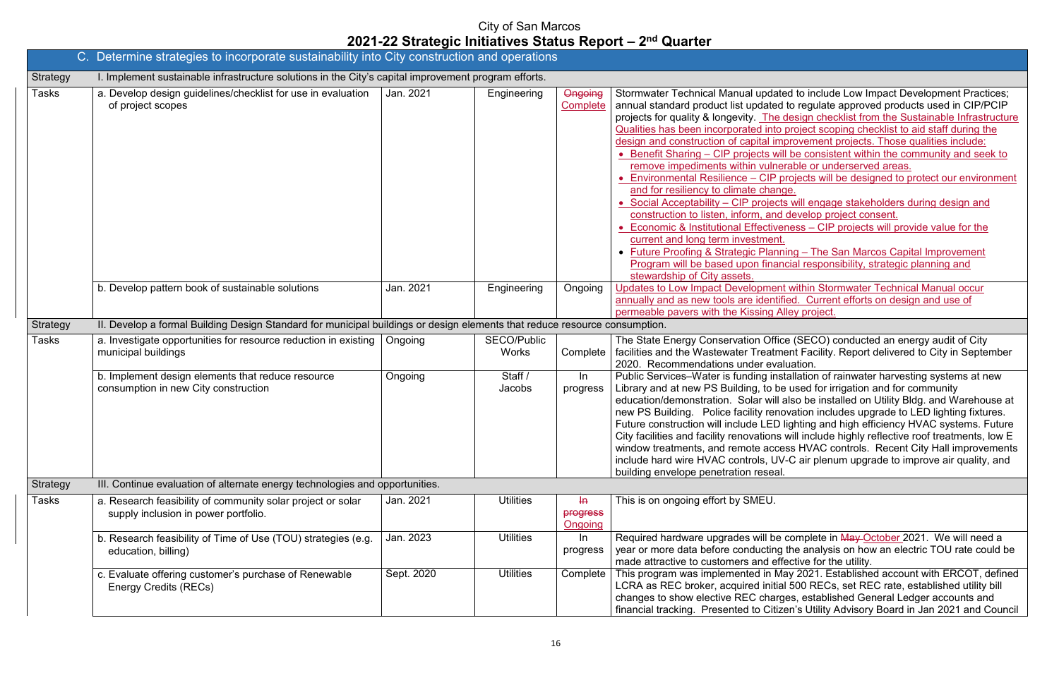ated to include Low Impact Development Practices; ed to regulate approved products used in CIP/PCIP e design checklist from the Sustainable Infrastructure to project scoping checklist to aid staff during the mprovement projects. Those qualities include:

will be consistent within the community and seek to remable or underserved areas.

projects will be designed to protect our environment nge.

ets will engage stakeholders during design and d develop project consent.

 $v$ eness – CIP projects will provide value for the

herming – The San Marcos Capital Improvement ancial responsibility, strategic planning and

**Prattern Storm water Technical Manual occurring Congoing Development Within Stormwater Technical Manual occurr** tified. Current efforts on design and use of Alley project.

fice (SECO) conducted an energy audit of City ment Facility. Report delivered to City in September aluation.

nstallation of rainwater harvesting systems at new be used for irrigation and for community ill also be installed on Utility Bldg. and Warehouse at novation includes upgrade to LED lighting fixtures. D lighting and high efficiency HVAC systems. Future is will include highly reflective roof treatments, low E cess HVAC controls. Recent City Hall improvements. JV-C air plenum upgrade to improve air quality, and

e complete in May October 2021. We will need a g the analysis on how an electric TOU rate could be effective for the utility.

May 2021. Established account with ERCOT, defined ial 500 RECs, set REC rate, established utility bill rges, established General Ledger accounts and izen's Utility Advisory Board in Jan 2021 and Council

|                 | C. Determine strategies to incorporate sustainability into City construction and operations                                |            |                                    |                                              |                                                                                                                                                                                                                                                                                                                                                                                                                                                                                                                                                                                                                                                                  |
|-----------------|----------------------------------------------------------------------------------------------------------------------------|------------|------------------------------------|----------------------------------------------|------------------------------------------------------------------------------------------------------------------------------------------------------------------------------------------------------------------------------------------------------------------------------------------------------------------------------------------------------------------------------------------------------------------------------------------------------------------------------------------------------------------------------------------------------------------------------------------------------------------------------------------------------------------|
| <b>Strategy</b> | I. Implement sustainable infrastructure solutions in the City's capital improvement program efforts.                       |            |                                    |                                              |                                                                                                                                                                                                                                                                                                                                                                                                                                                                                                                                                                                                                                                                  |
| <b>Tasks</b>    | a. Develop design guidelines/checklist for use in evaluation<br>of project scopes                                          | Jan. 2021  | Engineering                        | Ongoing<br>Complete                          | <b>Stormwater Technical Manual update</b><br>annual standard product list updated<br>projects for quality & longevity. The d<br>Qualities has been incorporated into p<br>design and construction of capital imp<br>• Benefit Sharing - CIP projects will<br>remove impediments within vulner<br>• Environmental Resilience - CIP pr<br>and for resiliency to climate chang<br>• Social Acceptability - CIP projects<br>construction to listen, inform, and o<br><b>Economic &amp; Institutional Effectiver</b><br>current and long term investment.<br>• Future Proofing & Strategic Planni<br>Program will be based upon finand<br>stewardship of City assets. |
|                 | b. Develop pattern book of sustainable solutions                                                                           | Jan. 2021  | Engineering                        | Ongoing                                      | <b>Updates to Low Impact Development</b><br>annually and as new tools are identifie<br>permeable pavers with the Kissing All                                                                                                                                                                                                                                                                                                                                                                                                                                                                                                                                     |
| <b>Strategy</b> | II. Develop a formal Building Design Standard for municipal buildings or design elements that reduce resource consumption. |            |                                    |                                              |                                                                                                                                                                                                                                                                                                                                                                                                                                                                                                                                                                                                                                                                  |
| Tasks           | a. Investigate opportunities for resource reduction in existing<br>municipal buildings                                     | Ongoing    | <b>SECO/Public</b><br><b>Works</b> | Complete                                     | The State Energy Conservation Office<br>facilities and the Wastewater Treatme<br>2020. Recommendations under evalu                                                                                                                                                                                                                                                                                                                                                                                                                                                                                                                                               |
|                 | b. Implement design elements that reduce resource<br>consumption in new City construction                                  | Ongoing    | Staff /<br>Jacobs                  | $\ln$<br>progress                            | Public Services-Water is funding insta<br>Library and at new PS Building, to be<br>education/demonstration. Solar will a<br>new PS Building. Police facility renot<br>Future construction will include LED li<br>City facilities and facility renovations v<br>window treatments, and remote acces<br>include hard wire HVAC controls, UV-<br>building envelope penetration reseal.                                                                                                                                                                                                                                                                              |
| <b>Strategy</b> | III. Continue evaluation of alternate energy technologies and opportunities.                                               |            |                                    |                                              |                                                                                                                                                                                                                                                                                                                                                                                                                                                                                                                                                                                                                                                                  |
| Tasks           | a. Research feasibility of community solar project or solar<br>supply inclusion in power portfolio.                        | Jan. 2021  | <b>Utilities</b>                   | $H\rightarrow$<br><b>progress</b><br>Ongoing | This is on ongoing effort by SMEU.                                                                                                                                                                                                                                                                                                                                                                                                                                                                                                                                                                                                                               |
|                 | b. Research feasibility of Time of Use (TOU) strategies (e.g.<br>education, billing)                                       | Jan. 2023  | <b>Utilities</b>                   | $\ln$<br>progress                            | Required hardware upgrades will be o<br>year or more data before conducting t<br>made attractive to customers and effe                                                                                                                                                                                                                                                                                                                                                                                                                                                                                                                                           |
|                 | c. Evaluate offering customer's purchase of Renewable<br><b>Energy Credits (RECs)</b>                                      | Sept. 2020 | <b>Utilities</b>                   | Complete                                     | This program was implemented in Ma<br>LCRA as REC broker, acquired initial<br>changes to show elective REC charge<br>financial tracking. Presented to Citize                                                                                                                                                                                                                                                                                                                                                                                                                                                                                                     |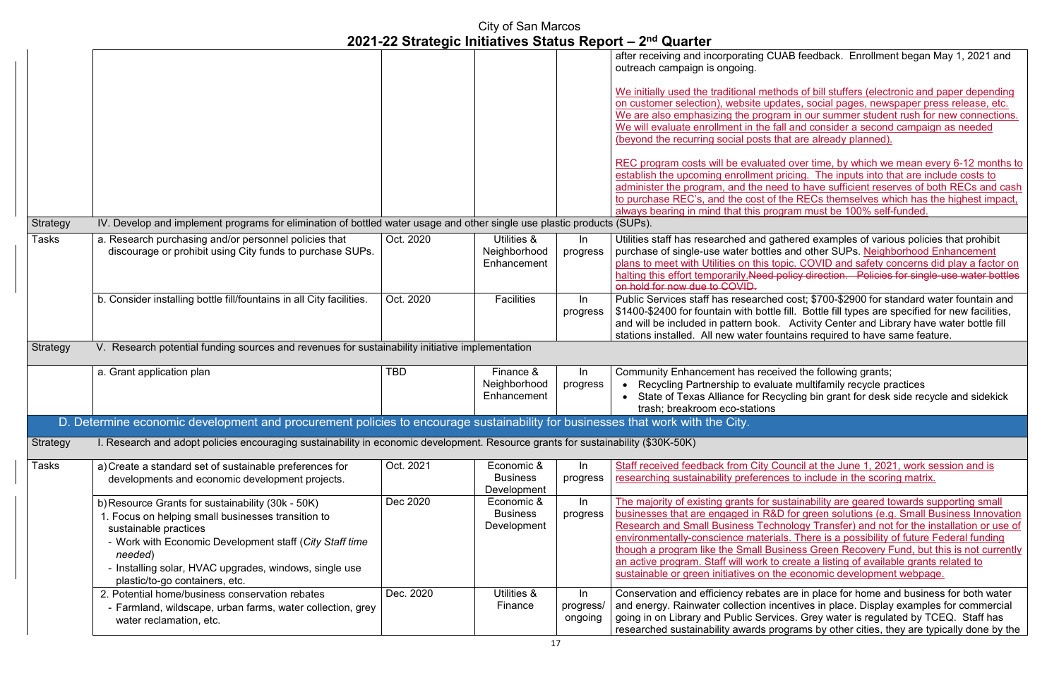UAB feedback. Enrollment began May 1, 2021 and

hods of bill stuffers (electronic and paper depending dates, social pages, newspaper press release, etc. am in our summer student rush for new connections. fall and consider a second campaign as needed (betaine already planned).

ed over time, by which we mean every 6-12 months to pricing. The inputs into that are include costs to and to have sufficient reserves of both RECs and cash If the RECs themselves which has the highest impact, always bearing in must be 100% self-funded.

athered examples of various policies that prohibit es and other SUPs. Neighborhood Enhancement ppic. COVID and safety concerns did play a factor on policy direction. Policies for single-use water bottles

ed cost; \$700-\$2900 for standard water fountain and e fill. Bottle fill types are specified for new facilities, a. Activity Center and Library have water bottle fill untains required to have same feature.

ived the following grants; ate multifamily recycle practices cycling bin grant for desk side recycle and sidekick

Souncil at the June 1, 2021, work session and is res to include in the scoring matrix.

 $\overline{\text{m}}$  matrix majority are geared towards supporting small  $b$  D for green solutions (e.g. Small Business Innovation hnology Transfer) and not for the installation or use of als. There is a possibility of future Federal funding isiness Green Recovery Fund, but this is not currently o create a listing of available grants related to he economic development webpage.

s are in place for home and business for both water centives in place. Display examples for commercial ices. Grey water is regulated by TCEQ. Staff has rograms by other cities, they are typically done by the

|                 |                                                                                                                                   |            |                   |           | after receiving and incorporating CI<br>outreach campaign is ongoing.                                                                                                                                 |
|-----------------|-----------------------------------------------------------------------------------------------------------------------------------|------------|-------------------|-----------|-------------------------------------------------------------------------------------------------------------------------------------------------------------------------------------------------------|
|                 |                                                                                                                                   |            |                   |           |                                                                                                                                                                                                       |
|                 |                                                                                                                                   |            |                   |           | We initially used the traditional met                                                                                                                                                                 |
|                 |                                                                                                                                   |            |                   |           | on customer selection), website up                                                                                                                                                                    |
|                 |                                                                                                                                   |            |                   |           | We are also emphasizing the progr                                                                                                                                                                     |
|                 |                                                                                                                                   |            |                   |           | We will evaluate enrollment in the f                                                                                                                                                                  |
|                 |                                                                                                                                   |            |                   |           | (beyond the recurring social posts t                                                                                                                                                                  |
|                 |                                                                                                                                   |            |                   |           | REC program costs will be evaluate                                                                                                                                                                    |
|                 |                                                                                                                                   |            |                   |           | establish the upcoming enrollment                                                                                                                                                                     |
|                 |                                                                                                                                   |            |                   |           | administer the program, and the ne                                                                                                                                                                    |
|                 |                                                                                                                                   |            |                   |           | to purchase REC's, and the cost of                                                                                                                                                                    |
|                 |                                                                                                                                   |            |                   |           | always bearing in mind that this pro                                                                                                                                                                  |
| <b>Strategy</b> | IV. Develop and implement programs for elimination of bottled water usage and other single use plastic products (SUPs).           |            |                   |           |                                                                                                                                                                                                       |
| Tasks           | a. Research purchasing and/or personnel policies that                                                                             | Oct. 2020  | Utilities &       | In        | Utilities staff has researched and ga                                                                                                                                                                 |
|                 | discourage or prohibit using City funds to purchase SUPs.                                                                         |            | Neighborhood      | progress  | purchase of single-use water bottle                                                                                                                                                                   |
|                 |                                                                                                                                   |            | Enhancement       |           | plans to meet with Utilities on this to                                                                                                                                                               |
|                 |                                                                                                                                   |            |                   |           | halting this effort temporarily. Need-                                                                                                                                                                |
|                 |                                                                                                                                   |            |                   |           | on hold for now due to COVID.                                                                                                                                                                         |
|                 | b. Consider installing bottle fill/fountains in all City facilities.                                                              | Oct. 2020  | <b>Facilities</b> | In        | Public Services staff has researche                                                                                                                                                                   |
|                 |                                                                                                                                   |            |                   | progress  | \$1400-\$2400 for fountain with bottle                                                                                                                                                                |
|                 |                                                                                                                                   |            |                   |           | and will be included in pattern book                                                                                                                                                                  |
|                 | V. Research potential funding sources and revenues for sustainability initiative implementation                                   |            |                   |           | stations installed. All new water for                                                                                                                                                                 |
| <b>Strategy</b> |                                                                                                                                   |            |                   |           |                                                                                                                                                                                                       |
|                 | a. Grant application plan                                                                                                         | <b>TBD</b> | Finance &         | In        | <b>Community Enhancement has rece</b>                                                                                                                                                                 |
|                 |                                                                                                                                   |            | Neighborhood      | progress  | Recycling Partnership to evalu                                                                                                                                                                        |
|                 |                                                                                                                                   |            | Enhancement       |           | State of Texas Alliance for Re                                                                                                                                                                        |
|                 |                                                                                                                                   |            |                   |           | trash; breakroom eco-stations                                                                                                                                                                         |
|                 | D. Determine economic development and procurement policies to encourage sustainability for businesses that work with the City.    |            |                   |           |                                                                                                                                                                                                       |
| <b>Strategy</b> | I. Research and adopt policies encouraging sustainability in economic development. Resource grants for sustainability (\$30K-50K) |            |                   |           |                                                                                                                                                                                                       |
| <b>Tasks</b>    |                                                                                                                                   | Oct. 2021  | Economic &        | In        | Staff received feedback from City C                                                                                                                                                                   |
|                 | a) Create a standard set of sustainable preferences for                                                                           |            | <b>Business</b>   | progress  | researching sustainability preferend                                                                                                                                                                  |
|                 | developments and economic development projects.                                                                                   |            | Development       |           |                                                                                                                                                                                                       |
|                 | b) Resource Grants for sustainability (30k - 50K)                                                                                 | Dec 2020   | Economic &        | In        | The majority of existing grants for s                                                                                                                                                                 |
|                 | 1. Focus on helping small businesses transition to                                                                                |            | <b>Business</b>   | progress  | businesses that are engaged in R&                                                                                                                                                                     |
|                 |                                                                                                                                   |            |                   |           |                                                                                                                                                                                                       |
|                 |                                                                                                                                   |            |                   |           |                                                                                                                                                                                                       |
|                 | sustainable practices                                                                                                             |            | Development       |           |                                                                                                                                                                                                       |
|                 | - Work with Economic Development staff (City Staff time                                                                           |            |                   |           |                                                                                                                                                                                                       |
|                 | needed)                                                                                                                           |            |                   |           |                                                                                                                                                                                                       |
|                 | - Installing solar, HVAC upgrades, windows, single use                                                                            |            |                   |           |                                                                                                                                                                                                       |
|                 | plastic/to-go containers, etc.                                                                                                    |            |                   |           | <b>Research and Small Business Teck</b><br>environmentally-conscience materia<br>though a program like the Small Bu<br>an active program. Staff will work to<br>sustainable or green initiatives on t |
|                 | 2. Potential home/business conservation rebates                                                                                   | Dec. 2020  | Utilities &       | $\ln$     |                                                                                                                                                                                                       |
|                 | - Farmland, wildscape, urban farms, water collection, grey                                                                        |            | Finance           | progress/ | Conservation and efficiency rebate<br>and energy. Rainwater collection in                                                                                                                             |
|                 | water reclamation, etc.                                                                                                           |            |                   | ongoing   | going in on Library and Public Serv<br>researched sustainability awards pr                                                                                                                            |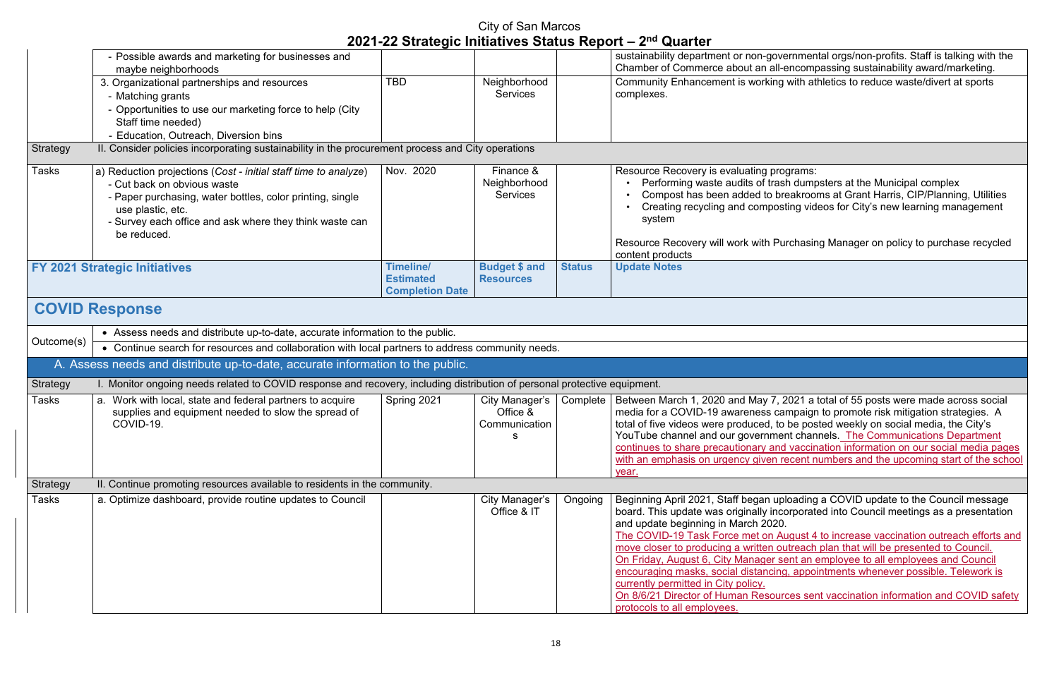overnmental orgs/non-profits. Staff is talking with the all-encompassing sustainability award/marketing. ing with athletics to reduce waste/divert at sports

programs:

rash dumpsters at the Municipal complex breakrooms at Grant Harris, CIP/Planning, Utilities osting videos for City's new learning management

Purchasing Manager on policy to purchase recycled

 $\sqrt{2}$ , 2021 a total of 55 posts were made across social campaign to promote risk mitigation strategies. A to be posted weekly on social media, the City's ment channels. The Communications Department and vaccination information on our social media pages n recent numbers and the upcoming start of the school

uploading a COVID update to the Council message  $\bar{b}$  incorporated into Council meetings as a presentation

August 4 to increase vaccination outreach efforts and outreach plan that will be presented to Council. sent an employee to all employees and Council encouraging appointments whenever possible. Telework is

ources sent vaccination information and COVID safety

|                 | - Possible awards and marketing for businesses and<br>maybe neighborhoods                                                                                                                                                                                  |                                                                |                                              |               | sustainability department or non-gove<br>Chamber of Commerce about an all-                                                                                                                                                                                                                                                                                                                        |
|-----------------|------------------------------------------------------------------------------------------------------------------------------------------------------------------------------------------------------------------------------------------------------------|----------------------------------------------------------------|----------------------------------------------|---------------|---------------------------------------------------------------------------------------------------------------------------------------------------------------------------------------------------------------------------------------------------------------------------------------------------------------------------------------------------------------------------------------------------|
|                 | 3. Organizational partnerships and resources<br>- Matching grants<br>- Opportunities to use our marketing force to help (City<br>Staff time needed)<br>- Education, Outreach, Diversion bins                                                               | <b>TBD</b>                                                     | Neighborhood<br><b>Services</b>              |               | <b>Community Enhancement is working</b><br>complexes.                                                                                                                                                                                                                                                                                                                                             |
| Strategy        | II. Consider policies incorporating sustainability in the procurement process and City operations                                                                                                                                                          |                                                                |                                              |               |                                                                                                                                                                                                                                                                                                                                                                                                   |
| Tasks           | a) Reduction projections (Cost - initial staff time to analyze)<br>- Cut back on obvious waste<br>- Paper purchasing, water bottles, color printing, single<br>use plastic, etc.<br>- Survey each office and ask where they think waste can<br>be reduced. | Nov. 2020                                                      | Finance &<br>Neighborhood<br><b>Services</b> |               | Resource Recovery is evaluating prog<br>Performing waste audits of trasl<br>Compost has been added to bre<br>Creating recycling and compost<br>system<br>Resource Recovery will work with Pu<br>content products                                                                                                                                                                                  |
|                 | <b>FY 2021 Strategic Initiatives</b>                                                                                                                                                                                                                       | <b>Timeline/</b><br><b>Estimated</b><br><b>Completion Date</b> | <b>Budget \$ and</b><br><b>Resources</b>     | <b>Status</b> | <b>Update Notes</b>                                                                                                                                                                                                                                                                                                                                                                               |
|                 | <b>COVID Response</b>                                                                                                                                                                                                                                      |                                                                |                                              |               |                                                                                                                                                                                                                                                                                                                                                                                                   |
|                 | • Assess needs and distribute up-to-date, accurate information to the public.                                                                                                                                                                              |                                                                |                                              |               |                                                                                                                                                                                                                                                                                                                                                                                                   |
| Outcome(s)      | • Continue search for resources and collaboration with local partners to address community needs.                                                                                                                                                          |                                                                |                                              |               |                                                                                                                                                                                                                                                                                                                                                                                                   |
|                 | A. Assess needs and distribute up-to-date, accurate information to the public.                                                                                                                                                                             |                                                                |                                              |               |                                                                                                                                                                                                                                                                                                                                                                                                   |
| <b>Strategy</b> | I. Monitor ongoing needs related to COVID response and recovery, including distribution of personal protective equipment.                                                                                                                                  |                                                                |                                              |               |                                                                                                                                                                                                                                                                                                                                                                                                   |
| <b>Tasks</b>    | a. Work with local, state and federal partners to acquire<br>supplies and equipment needed to slow the spread of<br>COVID-19.                                                                                                                              | Spring 2021                                                    | City Manager's<br>Office &<br>Communication  | Complete      | Between March 1, 2020 and May 7, 2<br>media for a COVID-19 awareness car<br>total of five videos were produced, to<br>YouTube channel and our governmer<br>continues to share precautionary and<br>with an emphasis on urgency given re<br>year.                                                                                                                                                  |
| <b>Strategy</b> | II. Continue promoting resources available to residents in the community.                                                                                                                                                                                  |                                                                |                                              |               |                                                                                                                                                                                                                                                                                                                                                                                                   |
| Tasks           | a. Optimize dashboard, provide routine updates to Council                                                                                                                                                                                                  |                                                                | City Manager's<br>Office & IT                | Ongoing       | Beginning April 2021, Staff began upl<br>board. This update was originally inco<br>and update beginning in March 2020.<br>The COVID-19 Task Force met on Au<br>move closer to producing a written ou<br>On Friday, August 6, City Manager se<br>encouraging masks, social distancing<br>currently permitted in City policy.<br>On 8/6/21 Director of Human Resourd<br>protocols to all employees. |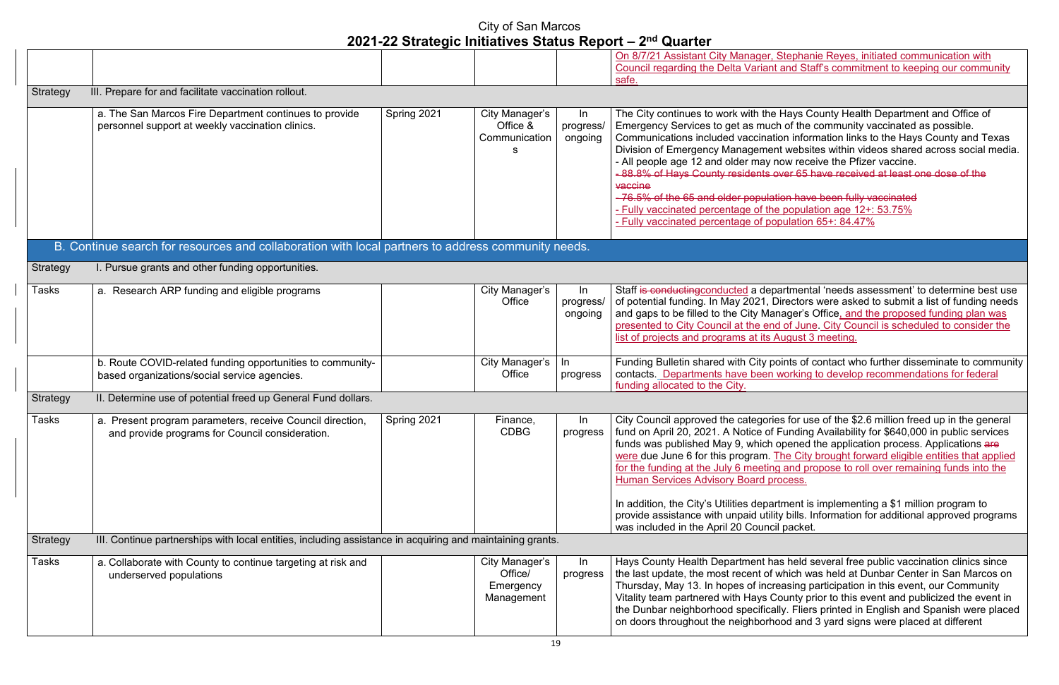Stephanie Reyes, initiated communication with I and Staff's commitment to keeping our community

Hays County Health Department and Office of th of the community vaccinated as possible.  $\frac{1}{2}$  ion information links to the Hays County and Texas nt websites within videos shared across social media. how receive the Pfizer vaccine. byer 65 have received at least one dose of the

tion have been fully vaccinated e population age  $12+: 53.75\%$ pulation  $65+$ :  $84.47%$ 

artmental 'needs assessment' to determine best use Directors were asked to submit a list of funding needs nager's Office, and the proposed funding plan was d of June. City Council is scheduled to consider the August 3 meeting.

oints of contact who further disseminate to community working to develop recommendations for federal

es for use of the \$2.6 million freed up in the general Funding Availability for \$640,000 in public services opened the application process. Applications are The City brought forward eligible entities that applied g and propose to roll over remaining funds into the ocess.

In the In addition, the City-theorem is implementing a \$1 million program to ty bills. Information for additional approved programs il packet.

as held several free public vaccination clinics since which was held at Dunbar Center in San Marcos on easing participation in this event, our Community County prior to this event and publicized the event in Illy. Fliers printed in English and Spanish were placed ood and 3 yard signs were placed at different

|                 |                                                                                                           | VET EE OUDIOGIO MINIQUIVOO OIDIDO INOPOLI |                |           |                                                |
|-----------------|-----------------------------------------------------------------------------------------------------------|-------------------------------------------|----------------|-----------|------------------------------------------------|
|                 |                                                                                                           |                                           |                |           | On 8/7/21 Assistant City Manager,              |
|                 |                                                                                                           |                                           |                |           | <b>Council regarding the Delta Variant</b>     |
|                 |                                                                                                           |                                           |                |           | safe.                                          |
| Strategy        | III. Prepare for and facilitate vaccination rollout.                                                      |                                           |                |           |                                                |
|                 | a. The San Marcos Fire Department continues to provide                                                    | Spring 2021                               | City Manager's | In        | The City continues to work with the            |
|                 | personnel support at weekly vaccination clinics.                                                          |                                           | Office &       | progress/ | Emergency Services to get as muc               |
|                 |                                                                                                           |                                           | Communication  | ongoing   | Communications included vaccinati              |
|                 |                                                                                                           |                                           |                |           | Division of Emergency Managemer                |
|                 |                                                                                                           |                                           |                |           | - All people age 12 and older may r            |
|                 |                                                                                                           |                                           |                |           | - 88.8% of Hays County residents o             |
|                 |                                                                                                           |                                           |                |           | vaccine                                        |
|                 |                                                                                                           |                                           |                |           | - 76.5% of the 65 and older populat            |
|                 |                                                                                                           |                                           |                |           | - Fully vaccinated percentage of the           |
|                 |                                                                                                           |                                           |                |           | - Fully vaccinated percentage of po            |
|                 |                                                                                                           |                                           |                |           |                                                |
|                 | B. Continue search for resources and collaboration with local partners to address community needs.        |                                           |                |           |                                                |
| <b>Strategy</b> | I. Pursue grants and other funding opportunities.                                                         |                                           |                |           |                                                |
| Tasks           | a. Research ARP funding and eligible programs                                                             |                                           | City Manager's | In        | Staff is conducting conducted a dep            |
|                 |                                                                                                           |                                           | Office         | progress/ | of potential funding. In May 2021, D           |
|                 |                                                                                                           |                                           |                | ongoing   | and gaps to be filled to the City Mar          |
|                 |                                                                                                           |                                           |                |           | presented to City Council at the end           |
|                 |                                                                                                           |                                           |                |           | list of projects and programs at its /         |
|                 |                                                                                                           |                                           |                |           |                                                |
|                 | b. Route COVID-related funding opportunities to community-                                                |                                           | City Manager's | In.       | Funding Bulletin shared with City po           |
|                 | based organizations/social service agencies.                                                              |                                           | Office         | progress  | contacts. Departments have been                |
|                 |                                                                                                           |                                           |                |           | funding allocated to the City.                 |
| Strategy        | II. Determine use of potential freed up General Fund dollars.                                             |                                           |                |           |                                                |
| Tasks           | a. Present program parameters, receive Council direction,                                                 | Spring 2021                               | Finance,       | In        | City Council approved the categorie            |
|                 | and provide programs for Council consideration.                                                           |                                           | <b>CDBG</b>    |           | progress   fund on April 20, 2021. A Notice of |
|                 |                                                                                                           |                                           |                |           | funds was published May 9, which               |
|                 |                                                                                                           |                                           |                |           | were due June 6 for this program. 7            |
|                 |                                                                                                           |                                           |                |           | for the funding at the July 6 meeting          |
|                 |                                                                                                           |                                           |                |           | <b>Human Services Advisory Board pr</b>        |
|                 |                                                                                                           |                                           |                |           | In addition, the City's Utilities depar        |
|                 |                                                                                                           |                                           |                |           | provide assistance with unpaid utilit          |
|                 |                                                                                                           |                                           |                |           | was included in the April 20 Counci            |
| Strategy        | III. Continue partnerships with local entities, including assistance in acquiring and maintaining grants. |                                           |                |           |                                                |
|                 |                                                                                                           |                                           |                |           |                                                |
| Tasks           | a. Collaborate with County to continue targeting at risk and                                              |                                           | City Manager's | In        | Hays County Health Department ha               |
|                 | underserved populations                                                                                   |                                           | Office/        | progress  | the last update, the most recent of            |
|                 |                                                                                                           |                                           | Emergency      |           | Thursday, May 13. In hopes of incre            |
|                 |                                                                                                           |                                           | Management     |           | Vitality team partnered with Hays C            |
|                 |                                                                                                           |                                           |                |           | the Dunbar neighborhood specifica              |
|                 |                                                                                                           |                                           |                |           | on doors throughout the neighborhe             |
|                 |                                                                                                           |                                           |                |           |                                                |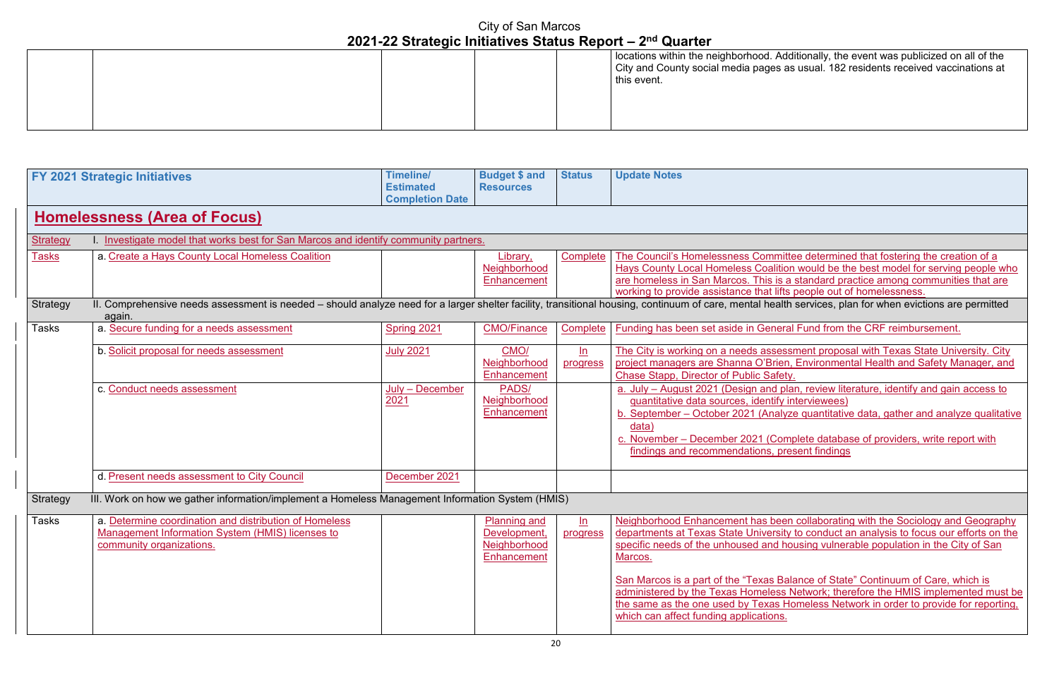#### Additionally, the event was publicized on all of the s as usual. 182 residents received vaccinations at

nittee determined that fostering the creation of a tion would be the best model for serving people who s a standard practice among communities that are ifts people out of homelessness.

<u>strategis is needed in comprehensive</u><br>alth services, plan for when evictions are permitted

eral Fund from the CRF reimbursement.

essment proposal with Texas State University. City en, Environmental Health and Safety Manager, and

plan, review literature, identify and gain access to fy interviewees)

b. B. September 2021 (Analyze qualitative analyze qualitative

complete database of providers, write report with present findings

een collaborating with the Sociology and Geography sity to conduct an analysis to focus our efforts on the housing vulnerable population in the City of San

|  | $\blacksquare$ |  |  |                                                                                        |  |
|--|----------------|--|--|----------------------------------------------------------------------------------------|--|
|  |                |  |  | locations within the neighborhood.<br>City and County social media page<br>this event. |  |
|  |                |  |  |                                                                                        |  |

San Marcos is a part of the "Texas Balance of State" Continuum of Care, which is administered by the Texas Homeless Network; therefore the HMIS implemented must be the same same same is the same is the setter to provide for reporting,

|                 | <b>FY 2021 Strategic Initiatives</b>                                                                                                                               | <b>Timeline/</b><br><b>Estimated</b> | <b>Budget \$ and</b><br><b>Resources</b> | <b>Status</b> | <b>Update Notes</b>                                                          |
|-----------------|--------------------------------------------------------------------------------------------------------------------------------------------------------------------|--------------------------------------|------------------------------------------|---------------|------------------------------------------------------------------------------|
|                 |                                                                                                                                                                    | <b>Completion Date</b>               |                                          |               |                                                                              |
|                 |                                                                                                                                                                    |                                      |                                          |               |                                                                              |
|                 | <b>Homelessness (Area of Focus)</b>                                                                                                                                |                                      |                                          |               |                                                                              |
| <b>Strategy</b> | I. Investigate model that works best for San Marcos and identify community partners.                                                                               |                                      |                                          |               |                                                                              |
| <u>Tasks</u>    | a. Create a Hays County Local Homeless Coalition                                                                                                                   |                                      | Library,                                 | Complete      | The Council's Homelessness Committe                                          |
|                 |                                                                                                                                                                    |                                      | Neighborhood                             |               | <b>Hays County Local Homeless Coalition</b>                                  |
|                 |                                                                                                                                                                    |                                      | Enhancement                              |               | are homeless in San Marcos. This is a                                        |
|                 |                                                                                                                                                                    |                                      |                                          |               | working to provide assistance that lifts                                     |
| Strategy        | II. Comprehensive needs assessment is needed - should analyze need for a larger shelter facility, transitional housing, continuum of care, mental health<br>again. |                                      |                                          |               |                                                                              |
| Tasks           | a. Secure funding for a needs assessment                                                                                                                           | Spring 2021                          | <b>CMO/Finance</b>                       | Complete      | Funding has been set aside in General                                        |
|                 |                                                                                                                                                                    |                                      |                                          |               |                                                                              |
|                 | b. Solicit proposal for needs assessment                                                                                                                           | <b>July 2021</b>                     | CMO/                                     | ln            | The City is working on a needs assessr                                       |
|                 |                                                                                                                                                                    |                                      | Neighborhood                             | progress      | project managers are Shanna O'Brien,                                         |
|                 |                                                                                                                                                                    |                                      | Enhancement                              |               | Chase Stapp, Director of Public Safety.                                      |
|                 | c. Conduct needs assessment                                                                                                                                        | July - December                      | PADS/                                    |               | a. July - August 2021 (Design and pla                                        |
|                 |                                                                                                                                                                    | 2021                                 | Neighborhood                             |               | quantitative data sources, identify in                                       |
|                 |                                                                                                                                                                    |                                      | Enhancement                              |               | b. September - October 2021 (Analyze                                         |
|                 |                                                                                                                                                                    |                                      |                                          |               | data)                                                                        |
|                 |                                                                                                                                                                    |                                      |                                          |               | c. November - December 2021 (Comp                                            |
|                 |                                                                                                                                                                    |                                      |                                          |               | findings and recommendations, pres                                           |
|                 |                                                                                                                                                                    |                                      |                                          |               |                                                                              |
|                 | d. Present needs assessment to City Council                                                                                                                        | December 2021                        |                                          |               |                                                                              |
|                 |                                                                                                                                                                    |                                      |                                          |               |                                                                              |
| <b>Strategy</b> | III. Work on how we gather information/implement a Homeless Management Information System (HMIS)                                                                   |                                      |                                          |               |                                                                              |
| Tasks           | a. Determine coordination and distribution of Homeless                                                                                                             |                                      | <b>Planning and</b>                      | ln            | Neighborhood Enhancement has been                                            |
|                 | <b>Management Information System (HMIS) licenses to</b>                                                                                                            |                                      | Development,                             | progress      | departments at Texas State University                                        |
|                 | community organizations.                                                                                                                                           |                                      | Neighborhood                             |               | specific needs of the unhoused and hor                                       |
|                 |                                                                                                                                                                    |                                      | Enhancement                              |               | Marcos.                                                                      |
|                 |                                                                                                                                                                    |                                      |                                          |               |                                                                              |
|                 |                                                                                                                                                                    |                                      |                                          |               | San Marcos is a part of the "Texas Bala                                      |
|                 |                                                                                                                                                                    |                                      |                                          |               | administered by the Texas Homeless N<br>the same as the one used by Texas Ho |
|                 |                                                                                                                                                                    |                                      |                                          |               | which can affect funding applications.                                       |
|                 |                                                                                                                                                                    |                                      |                                          |               |                                                                              |
|                 |                                                                                                                                                                    |                                      |                                          |               |                                                                              |